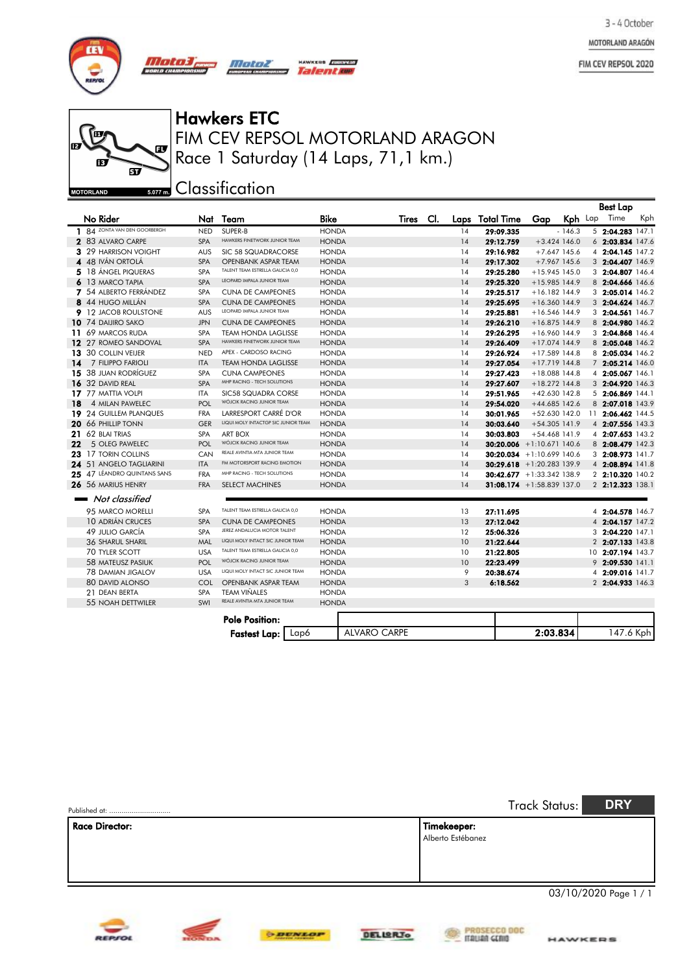MOTORLAND ARAGÓN

FIM CEV REPSOL 2020



じ œ  $\mathbf{F}$ ந  $\overline{\mathbf{v}}$ **MOTORLAND** 

#### FIM CEV REPSOL MOTORLAND ARAGON Hawkers ETC Race 1 Saturday (14 Laps, 71,1 km.)

HAWKERS *EUROPEAN* 

Talenta

**sozm** Classification

*Motoz* 

|    |                                |            |                                     |              |                     |     |      |                              |                 |                | <b>Best Lap</b>    |     |
|----|--------------------------------|------------|-------------------------------------|--------------|---------------------|-----|------|------------------------------|-----------------|----------------|--------------------|-----|
|    | No Rider                       | Nat        | Team                                | <b>Bike</b>  | Tires               | CI. | Laps | Total Time                   | Gap             | Kph Lap        | Time               | Kph |
|    | 1 84 ZONTA VAN DEN GOORBERGH   | <b>NED</b> | SUPER-B                             | <b>HONDA</b> |                     |     | 14   | 29:09.335                    |                 | $-146.3$       | $5$ 2:04.283 147.1 |     |
|    | 2 83 ALVARO CARPE              | <b>SPA</b> | HAWKERS FINETWORK JUNIOR TEAM       | <b>HONDA</b> |                     |     | 14   | 29:12.759                    |                 | $+3.424$ 146.0 | 6 2:03.834 147.6   |     |
|    | 3 29 HARRISON VOIGHT           | <b>AUS</b> | SIC 58 SQUADRACORSE                 | <b>HONDA</b> |                     |     | 14   | 29:16.982                    |                 | $+7.647$ 145.6 | 4 2:04.145 147.2   |     |
|    | 4 48 IVÁN ORTOLÁ               | <b>SPA</b> | <b>OPENBANK ASPAR TEAM</b>          | <b>HONDA</b> |                     |     | 14   | 29:17.302                    |                 | $+7.967$ 145.6 | 3 2:04.407 146.9   |     |
|    | 5 18 ÁNGEL PIQUERAS            | <b>SPA</b> | TALENT TEAM ESTRELLA GALICIA 0,0    | <b>HONDA</b> |                     |     | 14   | 29:25.280                    | +15.945 145.0   |                | 3 2:04.807 146.4   |     |
|    | 6 13 MARCO TAPIA               | <b>SPA</b> | LEOPARD IMPALA JUNIOR TEAM          | <b>HONDA</b> |                     |     | 14   | 29:25.320                    | $+15.985$ 144.9 |                | 8 2:04.666 146.6   |     |
|    | 7 54 ALBERTO FERRÁNDEZ         | <b>SPA</b> | <b>CUNA DE CAMPEONES</b>            | <b>HONDA</b> |                     |     | 14   | 29:25.517                    | $+16.182$ 144.9 |                | 3 2:05.014 146.2   |     |
|    | 8 44 HUGO MILLÁN               | <b>SPA</b> | <b>CUNA DE CAMPEONES</b>            | <b>HONDA</b> |                     |     | 14   | 29:25.695                    | $+16.360$ 144.9 |                | 3 2:04.624 146.7   |     |
|    | <b>9</b> 12 JACOB ROULSTONE    | <b>AUS</b> | LEOPARD IMPALA JUNIOR TEAM          | <b>HONDA</b> |                     |     | 14   | 29:25.881                    | $+16.546$ 144.9 |                | 3 2:04.561 146.7   |     |
|    | 10 74 DAIJIRO SAKO             | <b>JPN</b> | <b>CUNA DE CAMPEONES</b>            | <b>HONDA</b> |                     |     | 14   | 29:26.210                    | $+16.875$ 144.9 |                | 8 2:04.980 146.2   |     |
|    | 11 69 MARCOS RUDA              | <b>SPA</b> | <b>TEAM HONDA LAGLISSE</b>          | <b>HONDA</b> |                     |     | 14   | 29:26.295                    | $+16.960$ 144.9 |                | 3 2:04.868 146.4   |     |
|    | 12 27 ROMEO SANDOVAL           | <b>SPA</b> | HAWKERS FINETWORK JUNIOR TEAM       | <b>HONDA</b> |                     |     | 14   | 29:26.409                    | $+17.074$ 144.9 |                | 8 2:05.048 146.2   |     |
|    | 13 30 COLLIN VEIJER            | <b>NED</b> | APEX - CARDOSO RACING               | <b>HONDA</b> |                     |     | 14   | 29:26.924                    | $+17.589$ 144.8 |                | 8 2:05.034 146.2   |     |
|    | 14 7 FILIPPO FARIOLI           | <b>ITA</b> | <b>TEAM HONDA LAGLISSE</b>          | <b>HONDA</b> |                     |     | 14   | 29:27.054                    | $+17.719$ 144.8 |                | 7 2:05.214 146.0   |     |
|    | <b>15</b> 38 JUAN RODRÍGUEZ    | <b>SPA</b> | <b>CUNA CAMPEONES</b>               | <b>HONDA</b> |                     |     | 14   | 29:27.423                    | +18.088 144.8   |                | 4 2:05.067 146.1   |     |
|    | 16 32 DAVID REAL               | <b>SPA</b> | MHP RACING - TECH SOLUTIONS         | <b>HONDA</b> |                     |     | 14   | 29:27.607                    | $+18.272$ 144.8 |                | 3 2:04.920 146.3   |     |
|    | 17 77 MATTIA VOLPI             | <b>ITA</b> | <b>SIC58 SQUADRA CORSE</b>          | <b>HONDA</b> |                     |     | 14   | 29:51.965                    | $+42.630$ 142.8 |                | 5 2:06.869 144.1   |     |
| 18 | 4 MILAN PAWELEC                | POL        | WÓJCIK RACING JUNIOR TEAM           | <b>HONDA</b> |                     |     | 14   | 29:54.020                    | $+44.685$ 142.6 |                | 8 2:07.018 143.9   |     |
|    | <b>19</b> 24 GUILLEM PLANQUES  | <b>FRA</b> | LARRESPORT CARRÉ D'OR               | <b>HONDA</b> |                     |     | 14   | 30:01.965                    | $+52.630$ 142.0 |                | 11 2:06.462 144.5  |     |
|    | $20\,$ 66 PHILLIP TONN         | <b>GER</b> | LIQUI MOLY INTACTGP SIC JUNIOR TEAM | <b>HONDA</b> |                     |     | 14   | 30:03.640                    | $+54.305$ 141.9 |                | 4 2:07.556 143.3   |     |
|    | <b>21</b> 62 BLAI TRIAS        | <b>SPA</b> | <b>ART BOX</b>                      | <b>HONDA</b> |                     |     | 14   | 30:03.803                    | $+54.468$ 141.9 |                | 4 2:07.653 143.2   |     |
| 22 | 5 OLEG PAWELEC                 | POL        | WÓJCIK RACING JUNIOR TEAM           | <b>HONDA</b> |                     |     | 14   | $30:20.006 +1:10.671140.6$   |                 |                | 8 2:08.479 142.3   |     |
|    | 23 17 TORIN COLLINS            | CAN        | REALE AVINTIA MTA JUNIOR TEAM       | <b>HONDA</b> |                     |     | 14   | $30:20.034$ + 1:10.699 140.6 |                 |                | 3 2:08.973 141.7   |     |
|    | <b>24</b> 51 ANGELO TAGLIARINI | <b>ITA</b> | FM MOTORSPORT RACING EMOTION        | <b>HONDA</b> |                     |     | 14   | $30:29.618$ +1:20.283 139.9  |                 |                | 4 2:08.894 141.8   |     |
|    | 25 47 LÉANDRO QUINTANS SANS    | <b>FRA</b> | MHP RACING - TECH SOLUTIONS         | <b>HONDA</b> |                     |     | 14   | $30:42.677 + 1:33.342$ 138.9 |                 |                | 2 2:10.320 140.2   |     |
|    | 26 56 MARIUS HENRY             | <b>FRA</b> | <b>SELECT MACHINES</b>              | <b>HONDA</b> |                     |     | 14   | 31:08.174 + 1:58.839 137.0   |                 |                | 2 2:12.323 138.1   |     |
|    | Not classified                 |            |                                     |              |                     |     |      |                              |                 |                |                    |     |
|    | 95 MARCO MORELLI               | <b>SPA</b> | TALENT TEAM ESTRELLA GALICIA 0,0    | <b>HONDA</b> |                     |     | 13   | 27:11.695                    |                 |                | 4 2:04.578 146.7   |     |
|    | <b>10 ADRIÁN CRUCES</b>        | <b>SPA</b> | <b>CUNA DE CAMPEONES</b>            | <b>HONDA</b> |                     |     | 13   | 27:12.042                    |                 |                | 4 2:04.157 147.2   |     |
|    | 49 JULIO GARCÍA                | <b>SPA</b> | JEREZ ANDALUCIA MOTOR TALENT        | <b>HONDA</b> |                     |     | 12   | 25:06.326                    |                 |                | 3 2:04.220 147.1   |     |
|    | <b>36 SHARUL SHARIL</b>        | MAL        | LIQUI MOLY INTACT SIC JUNIOR TEAM   | <b>HONDA</b> |                     |     | 10   | 21:22.644                    |                 |                | 2 2:07.133 143.8   |     |
|    | 70 TYLER SCOTT                 | <b>USA</b> | TALENT TEAM ESTRELLA GALICIA 0,0    | <b>HONDA</b> |                     |     | 10   | 21:22.805                    |                 |                | 10 2:07.194 143.7  |     |
|    | 58 MATEUSZ PASIUK              | POL        | WÓJCIK RACING JUNIOR TEAM           | <b>HONDA</b> |                     |     | 10   | 22:23.499                    |                 |                | 9 2:09.530 141.1   |     |
|    | <b>78 DAMIAN JIGALOV</b>       | <b>USA</b> | LIQUI MOLY INTACT SIC JUNIOR TEAM   | <b>HONDA</b> |                     |     | 9    | 20:38.674                    |                 |                | 4 2:09.016 141.7   |     |
|    | 80 DAVID ALONSO                | COL        | <b>OPENBANK ASPAR TEAM</b>          | <b>HONDA</b> |                     |     | 3    | 6:18.562                     |                 |                | 2 2:04.933 146.3   |     |
|    | 21 DEAN BERTA                  | SPA        | <b>TEAM VIÑALES</b>                 | <b>HONDA</b> |                     |     |      |                              |                 |                |                    |     |
|    | <b>55 NOAH DETTWILER</b>       | SWI        | REALE AVINTIA MTA JUNIOR TEAM       | <b>HONDA</b> |                     |     |      |                              |                 |                |                    |     |
|    |                                |            |                                     |              |                     |     |      |                              |                 |                |                    |     |
|    |                                |            | <b>Pole Position:</b>               |              |                     |     |      |                              |                 |                |                    |     |
|    |                                |            | Lap6<br><b>Fastest Lap:</b>         |              | <b>ALVARO CARPE</b> |     |      |                              | 2:03.834        |                | 147.6 Kph          |     |

| Published at:  | <b>DRY</b><br>Track Status:      |
|----------------|----------------------------------|
| Race Director: | Timekeeper:<br>Alberto Estébanez |
|                | 03/10/2020 Page 1 / 1            |







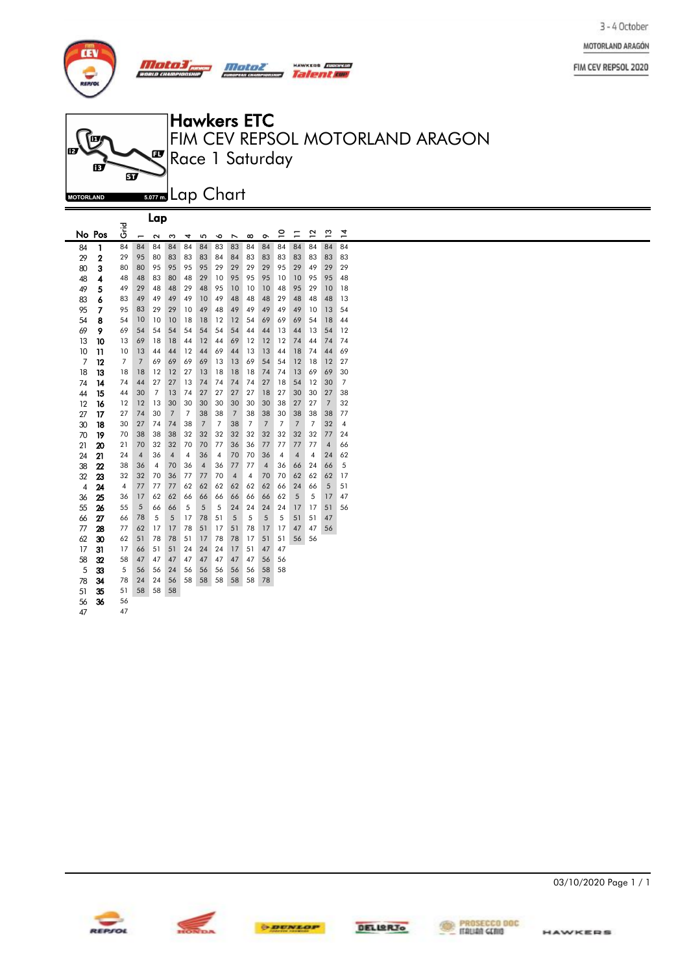

 $\blacksquare$ 



|                | Lap            |                |                |                   |                |    |                |                |                |                |                |                         |                |                         |                |                |
|----------------|----------------|----------------|----------------|-------------------|----------------|----|----------------|----------------|----------------|----------------|----------------|-------------------------|----------------|-------------------------|----------------|----------------|
|                | No Pos         | ہے۔<br>5       | -              | $\mathbf{\Omega}$ | ω              | 4  | 5              | ∘              | N              | $\infty$       | ò              | ≘                       | Ξ              | 5                       | $\frac{3}{2}$  | $\overline{4}$ |
| 84             | 1              | 84             | 84             | 84                | 84             | 84 | 84             | 83             | 83             | 84             | 84             | 84                      | 84             | 84                      | 84             | 84             |
| 29             | $\overline{2}$ | 29             | 95             | 80                | 83             | 83 | 83             | 84             | 84             | 83             | 83             | 83                      | 83             | 83                      | 83             | 83             |
| 80             | 3              | 80             | 80             | 95                | 95             | 95 | 95             | 29             | 29             | 29             | 29             | 95                      | 29             | 49                      | 29             | 29             |
| 48             | 4              | 48             | 48             | 83                | 80             | 48 | 29             | 10             | 95             | 95             | 95             | 10                      | 10             | 95                      | 95             | 48             |
| 49             | 5              | 49             | 29             | 48                | 48             | 29 | 48             | 95             | 10             | 10             | 10             | 48                      | 95             | 29                      | 10             | 18             |
| 83             | 6              | 83             | 49             | 49                | 49             | 49 | 10             | 49             | 48             | 48             | 48             | 29                      | 48             | 48                      | 48             | 13             |
| 95             | 7              | 95             | 83             | 29                | 29             | 10 | 49             | 48             | 49             | 49             | 49             | 49                      | 49             | 10                      | 13             | 54             |
| 54             | 8              | 54             | 10             | 10                | 10             | 18 | 18             | 12             | 12             | 54             | 69             | 69                      | 69             | 54                      | 18             | 44             |
| 69             | 9              | 69             | 54             | 54                | 54             | 54 | 54             | 54             | 54             | 44             | 44             | 13                      | 44             | 13                      | 54             | 12             |
| 13             | 10             | 13             | 69             | 18                | 18             | 44 | 12             | 44             | 69             | 12             | 12             | 12                      | 74             | 44                      | 74             | 74             |
| 10             | 11             | 10             | 13             | 44                | 44             | 12 | 44             | 69             | 44             | 13             | 13             | 44                      | 18             | 74                      | 44             | 69             |
| 7              | 12             | $\overline{7}$ | $\overline{7}$ | 69                | 69             | 69 | 69             | 13             | 13             | 69             | 54             | 54                      | 12             | 18                      | 12             | 27             |
| 18             | 13             | 18             | 18             | 12                | 12             | 27 | 13             | 18             | 18             | 18             | 74             | 74                      | 13             | 69                      | 69             | 30             |
| 74             | 14             | 74             | 44             | 27                | 27             | 13 | 74             | 74             | 74             | 74             | 27             | 18                      | 54             | 12                      | 30             | $\overline{7}$ |
| 44             | 15             | 44             | 30             | 7                 | 13             | 74 | 27             | 27             | 27             | 27             | 18             | 27                      | 30             | 30                      | 27             | 38             |
| 12             | 16             | 12             | 12             | 13                | 30             | 30 | 30             | 30             | 30             | 30             | 30             | 38                      | 27             | 27                      | $\overline{7}$ | 32             |
| 27             | 17             | 27             | 74             | 30                | $\overline{7}$ | 7  | 38             | 38             | $\overline{7}$ | 38             | 38             | 30                      | 38             | 38                      | 38             | 77             |
| 30             | 18             | 30             | 27             | 74                | 74             | 38 | $\overline{7}$ | $\overline{7}$ | 38             | $\overline{7}$ | $\overline{7}$ | $\overline{7}$          | $\overline{7}$ | $\overline{7}$          | 32             | $\sqrt{4}$     |
| 70             | 19             | 70             | 38             | 38                | 38             | 32 | 32             | 32             | 32             | 32             | 32             | 32                      | 32             | 32                      | 77             | 24             |
| 21             | 20             | 21             | 70             | 32                | 32             | 70 | 70             | 77             | 36             | 36             | 77             | 77                      | 77             | 77                      | $\overline{4}$ | 66             |
| 24             | 21             | 24             | $\overline{4}$ | 36                | $\overline{4}$ | 4  | 36             | $\overline{4}$ | 70             | 70             | 36             | $\overline{\mathbf{4}}$ | $\overline{4}$ | $\overline{\mathbf{4}}$ | 24             | 62             |
| 38             | 22             | 38             | 36             | $\overline{4}$    | 70             | 36 | $\overline{4}$ | 36             | 77             | 77             | $\overline{4}$ | 36                      | 66             | 24                      | 66             | 5              |
| 32             | 23             | 32             | 32             | 70                | 36             | 77 | 77             | 70             | $\overline{4}$ | $\overline{4}$ | 70             | 70                      | 62             | 62                      | 62             | 17             |
| $\overline{4}$ | 24             | 4              | 77             | 77                | 77             | 62 | 62             | 62             | 62             | 62             | 62             | 66                      | 24             | 66                      | 5              | 51             |
| 36             | 25             | 36             | 17             | 62                | 62             | 66 | 66             | 66             | 66             | 66             | 66             | 62                      | 5              | 5                       | 17             | 47             |
| 55             | 26             | 55             | 5              | 66                | 66             | 5  | 5              | 5              | 24             | 24             | 24             | 24                      | 17             | 17                      | 51             | 56             |
| 66             | 27             | 66             | 78             | 5                 | 5              | 17 | 78             | 51             | 5              | 5              | 5              | 5                       | 51             | 51                      | 47             |                |
| 77             | 28             | 77             | 62             | 17                | 17             | 78 | 51             | 17             | 51             | 78             | 17             | 17                      | 47             | 47                      | 56             |                |
| 62             | 30             | 62             | 51             | 78                | 78             | 51 | 17             | 78             | 78             | 17             | 51             | 51                      | 56             | 56                      |                |                |
| 17             | 31             | 17             | 66             | 51                | 51             | 24 | 24             | 24             | 17             | 51             | 47             | 47                      |                |                         |                |                |
| 58             | 32             | 58             | 47             | 47                | 47             | 47 | 47             | 47             | 47             | 47             | 56             | 56                      |                |                         |                |                |
| 5              | 33             | 5              | 56             | 56                | 24             | 56 | 56             | 56             | 56             | 56             | 58             | 58                      |                |                         |                |                |
| 78             | 34             | 78             | 24             | 24                | 56             | 58 | 58             | 58             | 58             | 58             | 78             |                         |                |                         |                |                |
| 51             | 35             | 51             | 58             | 58                | 58             |    |                |                |                |                |                |                         |                |                         |                |                |
| 56             | 36             | 56             |                |                   |                |    |                |                |                |                |                |                         |                |                         |                |                |
| 47             |                | 47             |                |                   |                |    |                |                |                |                |                |                         |                |                         |                |                |







03/10/2020 Page 1 / 1



FIM CEV REPSOL 2020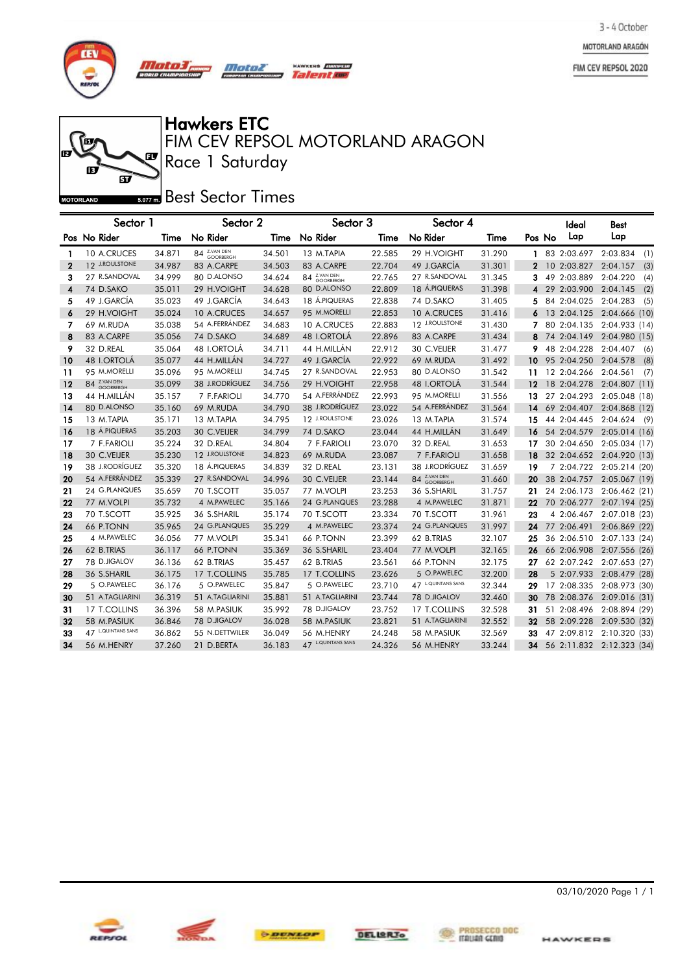MOTORLAND ARAGÓN

FIM CEV REPSOL 2020



Ø

ஏ

Ĩп

**MOTORLAND** 

# Hawkers ETC

Race 1 Saturday FIM CEV REPSOL MOTORLAND ARAGON

**HAWRES** *Quadress* 

#### **Best Sector Times**

|             | Sector 1           |        | Sector 2        |        | Sector 3           |        | Sector 4          |        |        | Ideal       | <b>Best</b>               |
|-------------|--------------------|--------|-----------------|--------|--------------------|--------|-------------------|--------|--------|-------------|---------------------------|
|             | Pos No Rider       | Time   | No Rider        | Time   | No Rider           | Time   | No Rider          | Time   | Pos No | Lap         | Lap                       |
| 1           | 10 A.CRUCES        | 34.871 | 84 Z.VAN DEN    | 34.501 | 13 M.TAPIA         | 22.585 | 29 H.VOIGHT       | 31.290 | 1      | 83 2:03.697 | 2:03.834<br>(1)           |
| $\mathbf 2$ | 12 J.ROULSTONE     | 34.987 | 83 A.CARPE      | 34.503 | 83 A.CARPE         | 22.704 | 49 J.GARCÍA       | 31.301 | 2      | 10 2:03.827 | 2:04.157<br>(3)           |
| 3           | 27 R.SANDOVAL      | 34.999 | 80 D.ALONSO     | 34.624 | 84 Z.VAN DEN       | 22.765 | 27 R.SANDOVAL     | 31.345 | 3      | 49 2:03.889 | 2:04.220<br>(4)           |
| 4           | 74 D.SAKO          | 35.011 | 29 H.VOIGHT     | 34.628 | 80 D.ALONSO        | 22.809 | 18 Á.PIQUERAS     | 31.398 | 4      | 29 2:03.900 | 2:04.145<br>(2)           |
| 5           | 49 J.GARCÍA        | 35.023 | 49 J.GARCÍA     | 34.643 | 18 Á.PIQUERAS      | 22.838 | 74 D.SAKO         | 31.405 | 5      | 84 2:04.025 | 2:04.283<br>(5)           |
| 6           | 29 H.VOIGHT        | 35.024 | 10 A.CRUCES     | 34.657 | 95 M.MORELLI       | 22.853 | 10 A.CRUCES       | 31.416 |        |             | 13 2:04.125 2:04.666 (10) |
| 7           | 69 M.RUDA          | 35.038 | 54 A.FERRÁNDEZ  | 34.683 | 10 A.CRUCES        | 22.883 | 12 J.ROULSTONE    | 31.430 |        | 80 2:04.135 | 2:04.933 (14)             |
| 8           | 83 A.CARPE         | 35.056 | 74 D.SAKO       | 34.689 | 48 I.ORTOLÁ        | 22.896 | 83 A.CARPE        | 31.434 | 8      |             | 74 2:04.149 2:04.980 (15) |
| 9           | 32 D.REAL          | 35.064 | 48 I.ORTOLÁ     | 34.711 | 44 H.MILLÁN        | 22.912 | 30 C.VEIJER       | 31.477 | 9      | 48 2:04.228 | 2:04.407<br>(6)           |
| 10          | 48 I.ORTOLÁ        | 35.077 | 44 H.MILLÁN     | 34.727 | 49 J.GARCÍA        | 22.922 | 69 M.RUDA         | 31.492 | 10     | 95 2:04.250 | 2:04.578<br>(8)           |
| 11          | 95 M.MORELLI       | 35.096 | 95 M.MORELLI    | 34.745 | 27 R.SANDOVAL      | 22.953 | 80 D.ALONSO       | 31.542 | 11     | 12 2:04.266 | 2:04.561<br>(7)           |
| 12          | 84 Z.VAN DEN       | 35.099 | 38 J.RODRÍGUEZ  | 34.756 | 29 H.VOIGHT        | 22.958 | 48 I.ORTOLÁ       | 31.544 | 12     | 18 2:04.278 | 2:04.807 (11)             |
| 13          | 44 H.MILLÁN        | 35.157 | 7 F.FARIOLI     | 34.770 | 54 A.FERRÁNDEZ     | 22.993 | 95 M.MORELLI      | 31.556 | 13     | 27 2:04.293 | 2:05.048 (18)             |
| 14          | 80 D.ALONSO        | 35.160 | 69 M.RUDA       | 34.790 | 38 J.RODRÍGUEZ     | 23.022 | 54 A.FERRÁNDEZ    | 31.564 | 14     | 69 2:04.407 | 2:04.868 (12)             |
| 15          | 13 M.TAPIA         | 35.171 | 13 M.TAPIA      | 34.795 | 12 J.ROULSTONE     | 23.026 | 13 M.TAPIA        | 31.574 | 15     | 44 2:04.445 | 2:04.624<br>- (9          |
| 16          | 18 Á.PIQUERAS      | 35.203 | 30 C.VEIJER     | 34.799 | 74 D.SAKO          | 23.044 | 44 H.MILLÁN       | 31.649 | 16     | 54 2:04.579 | 2:05.014 (16)             |
| 17          | 7 F.FARIOLI        | 35.224 | 32 D.REAL       | 34.804 | 7 F.FARIOLI        | 23.070 | 32 D.REAL         | 31.653 | 17     | 30 2:04.650 | 2:05.034 (17)             |
| 18          | 30 C.VEIJER        | 35.230 | 12 J.ROULSTONE  | 34.823 | 69 M.RUDA          | 23.087 | 7 F.FARIOLI       | 31.658 | 18     | 32 2:04.652 | 2:04.920 (13)             |
| 19          | 38 J.RODRÍGUEZ     | 35.320 | 18 Á.PIQUERAS   | 34.839 | 32 D.REAL          | 23.131 | 38 J.RODRÍGUEZ    | 31.659 | 19     | 7 2:04.722  | 2:05.214 (20)             |
| 20          | 54 A.FERRÁNDEZ     | 35.339 | 27 R.SANDOVAL   | 34.996 | 30 C.VEIJER        | 23.144 | 84 Z.VAN DEN      | 31.660 | 20     | 38 2:04.757 | 2:05.067 (19)             |
| 21          | 24 G.PLANQUES      | 35.659 | 70 T.SCOTT      | 35.057 | 77 M.VOLPI         | 23.253 | 36 S.SHARIL       | 31.757 | 21     | 24 2:06.173 | 2:06.462(21)              |
| 22          | 77 M.VOLPI         | 35.732 | 4 M.PAWELEC     | 35.166 | 24 G.PLANQUES      | 23.288 | 4 M.PAWELEC       | 31.871 | 22     | 70 2:06.277 | 2:07.194 (25)             |
| 23          | 70 T.SCOTT         | 35.925 | 36 S.SHARIL     | 35.174 | 70 T.SCOTT         | 23.334 | 70 T.SCOTT        | 31.961 | 23     | 4 2:06.467  | 2:07.018 (23)             |
| 24          | 66 P.TONN          | 35.965 | 24 G.PLANQUES   | 35.229 | 4 M.PAWELEC        | 23.374 | 24 G.PLANQUES     | 31.997 | 24     | 77 2:06.491 | 2:06.869 (22)             |
| 25          | 4 M.PAWELEC        | 36.056 | 77 M.VOLPI      | 35.341 | 66 P.TONN          | 23.399 | 62 B.TRIAS        | 32.107 | 25     | 36 2:06.510 | 2:07.133 (24)             |
| 26          | 62 B.TRIAS         | 36.117 | 66 P.TONN       | 35.369 | 36 S.SHARIL        | 23.404 | 77 M.VOLPI        | 32.165 | 26     | 66 2:06.908 | 2:07.556 (26)             |
| 27          | 78 D.JIGALOV       | 36.136 | 62 B.TRIAS      | 35.457 | 62 B.TRIAS         | 23.561 | <b>66 P.TONN</b>  | 32.175 | 27     | 62 2:07.242 | 2:07.653 (27)             |
| 28          | 36 S.SHARIL        | 36.175 | 17 T.COLLINS    | 35.785 | 17 T.COLLINS       | 23.626 | 5 O.PAWELEC       | 32.200 | 28     | 5 2:07.933  | 2:08.479 (28)             |
| 29          | 5 O.PAWELEC        | 36.176 | 5 O.PAWELEC     | 35.847 | 5 O.PAWELEC        | 23.710 | 47 LQUINTANS SANS | 32.344 | 29     | 17 2:08.335 | 2:08.973 (30)             |
| 30          | 51 A.TAGLIARINI    | 36.319 | 51 A.TAGLIARINI | 35.881 | 51 A.TAGLIARINI    | 23.744 | 78 D.JIGALOV      | 32.460 | 30     | 78 2:08.376 | 2:09.016 (31)             |
| 31          | 17 T.COLLINS       | 36.396 | 58 M.PASIUK     | 35.992 | 78 D.JIGALOV       | 23.752 | 17 T.COLLINS      | 32.528 | 31     | 51 2:08.496 | 2:08.894 (29)             |
| 32          | 58 M.PASIUK        | 36.846 | 78 D.JIGALOV    | 36.028 | 58 M.PASIUK        | 23.821 | 51 A.TAGLIARINI   | 32.552 | 32     | 58 2:09.228 | 2:09.530 (32)             |
| 33          | 47 L.QUINTANS SANS | 36.862 | 55 N.DETTWILER  | 36.049 | 56 M.HENRY         | 24.248 | 58 M.PASIUK       | 32.569 | 33     | 47 2:09.812 | 2:10.320 (33)             |
| 34          | 56 M.HENRY         | 37.260 | 21 D.BERTA      | 36.183 | 47 L.QUINTANS SANS | 24.326 | 56 M.HENRY        | 33.244 | 34     |             | 56 2:11.832 2:12.323 (34) |









03/10/2020 Page 1 / 1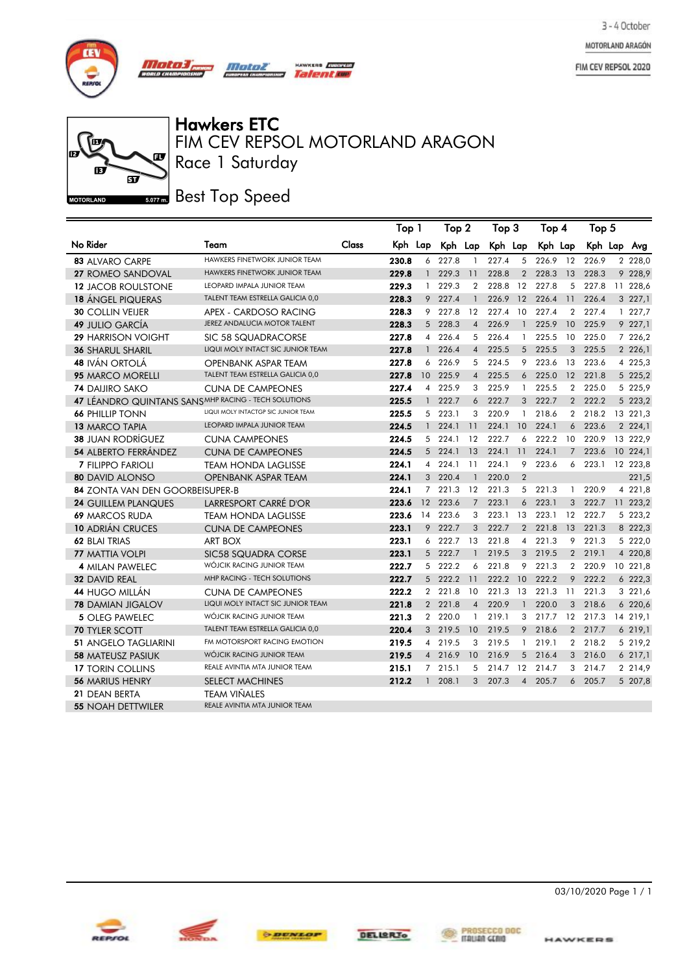MOTORLAND ARAGÓN

FIM CEV REPSOL 2020





Hawkers ETC<br>FIM CEV REPSOL MOTORLAND ARAGON Race 1 Saturday

**KERS** *<i>EUROPEAN* Talenta

**Best Top Speed** 

|                                                      |                                      |       | Top 1   |                 | Top 2   |                | Тор З    |                | Top 4   |                | Top 5   |            |
|------------------------------------------------------|--------------------------------------|-------|---------|-----------------|---------|----------------|----------|----------------|---------|----------------|---------|------------|
| No Rider                                             | Team                                 | Class | Kph Lap |                 | Kph Lap |                | Kph Lap  |                | Kph Lap |                | Kph Lap | Avg        |
| <b>83 ALVARO CARPE</b>                               | <b>HAWKERS FINETWORK JUNIOR TEAM</b> |       | 230.8   | 6               | 227.8   | $\mathbf{1}$   | 227.4    | 5              | 226.9   | 12             | 226.9   | 2 228,0    |
| 27 ROMEO SANDOVAL                                    | <b>HAWKERS FINETWORK JUNIOR TEAM</b> |       | 229.8   | $\mathbf{1}$    | 229.3   | 11             | 228.8    | $\mathbf{2}$   | 228.3   | 13             | 228.3   | 9 228,9    |
| <b>12 JACOB ROULSTONE</b>                            | LEOPARD IMPALA JUNIOR TEAM           |       | 229.3   | $\mathbf{1}$    | 229.3   | $\overline{2}$ | 228.8    | 12             | 227.8   |                | 5 227.8 | 11 228,6   |
| <b>18 ÁNGEL PIQUERAS</b>                             | TALENT TEAM ESTRELLA GALICIA 0,0     |       | 228.3   | 9               | 227.4   | $\mathbf{1}$   | 226.9    | 12             | 226.4   | 11             | 226.4   | 3 227,1    |
| <b>30 COLLIN VEIJER</b>                              | APEX - CARDOSO RACING                |       | 228.3   | 9               | 227.8   | 12             | 227.4    | -10            | 227.4   | $\overline{2}$ | 227.4   | 1227,7     |
| <b>49 JULIO GARCÍA</b>                               | JEREZ ANDALUCIA MOTOR TALENT         |       | 228.3   | 5 <sup>5</sup>  | 228.3   | $\overline{4}$ | 226.9    | $\mathbf{1}$   | 225.9   | 10             | 225.9   | 9 227,1    |
| <b>29 HARRISON VOIGHT</b>                            | SIC 58 SQUADRACORSE                  |       | 227.8   | $\overline{4}$  | 226.4   | 5              | 226.4    | $\mathbf{1}$   | 225.5   | 10             | 225.0   | 7 226,2    |
| <b>36 SHARUL SHARIL</b>                              | LIQUI MOLY INTACT SIC JUNIOR TEAM    |       | 227.8   | $\mathbf{1}$    | 226.4   | $\overline{4}$ | 225.5    | 5              | 225.5   | 3              | 225.5   | 2 2 2 6, 1 |
| <b>48 IVÁN ORTOLÁ</b>                                | <b>OPENBANK ASPAR TEAM</b>           |       | 227.8   | 6               | 226.9   | 5              | 224.5    | 9              | 223.6   | 13             | 223.6   | 4 225,3    |
| <b>95 MARCO MORELLI</b>                              | TALENT TEAM ESTRELLA GALICIA 0,0     |       | 227.8   | 10 <sup>°</sup> | 225.9   | $\overline{4}$ | 225.5    | 6              | 225.0   | 12             | 221.8   | 5 225,2    |
| <b>74 DAIJIRO SAKO</b>                               | <b>CUNA DE CAMPEONES</b>             |       | 227.4   | $\overline{4}$  | 225.9   | 3              | 225.9    | 1              | 225.5   | $\overline{2}$ | 225.0   | 5 225,9    |
| 47 LÉANDRO QUINTANS SANS MHP RACING - TECH SOLUTIONS |                                      |       | 225.5   | $\mathbf{1}$    | 222.7   | 6              | 222.7    |                | 3 222.7 |                | 2 222.2 | 5 223,2    |
| <b>66 PHILLIP TONN</b>                               | LIQUI MOLY INTACTGP SIC JUNIOR TEAM  |       | 225.5   |                 | 5 223.1 | 3              | 220.9    | 1              | 218.6   | $\mathbf{2}$   | 218.2   | 13 221,3   |
| 13 MARCO TAPIA                                       | <b>LEOPARD IMPALA JUNIOR TEAM</b>    |       | 224.5   | $\mathbf{1}$    | 224.1   | 11             | 224.1    | 10             | 224.1   | 6              | 223.6   | 2 2 2 4, 1 |
| <b>38 JUAN RODRÍGUEZ</b>                             | <b>CUNA CAMPEONES</b>                |       | 224.5   |                 | 5 224.1 | 12             | 222.7    | 6              | 222.2   | 10             | 220.9   | 13 222,9   |
| <b>54 ALBERTO FERRÁNDEZ</b>                          | <b>CUNA DE CAMPEONES</b>             |       | 224.5   |                 | 5 224.1 | 13             | 224.1    | 11             | 224.1   | $\overline{7}$ | 223.6   | 10, 224, 1 |
| <b>7 FILIPPO FARIOLI</b>                             | <b>TEAM HONDA LAGLISSE</b>           |       | 224.1   | 4               | 224.1   | 11             | 224.1    | 9              | 223.6   | 6              | 223.1   | 12 223,8   |
| <b>80 DAVID ALONSO</b>                               | <b>OPENBANK ASPAR TEAM</b>           |       | 224.1   |                 | 3 220.4 | $\mathbf{1}$   | 220.0    | $\overline{2}$ |         |                |         | 221,5      |
| 84 ZONTA VAN DEN GOORBEISUPER-B                      |                                      |       | 224.1   | $7^{\circ}$     | 221.3   | 12             | 221.3    | 5              | 221.3   | 1              | 220.9   | 4 221,8    |
| <b>24 GUILLEM PLANQUES</b>                           | LARRESPORT CARRÉ D'OR                |       | 223.6   | 12              | 223.6   | $7^{\circ}$    | 223.1    | 6              | 223.1   | 3              | 222.7   | 11 223,2   |
| <b>69 MARCOS RUDA</b>                                | <b>TEAM HONDA LAGLISSE</b>           |       | 223.6   | 14              | 223.6   | 3              | 223.1    | 13             | 223.1   | 12             | 222.7   | 5 223,2    |
| <b>10 ADRIÁN CRUCES</b>                              | <b>CUNA DE CAMPEONES</b>             |       | 223.1   | 9               | 222.7   | 3              | 222.7    | $\overline{2}$ | 221.8   | 13             | 221.3   | 8 222,3    |
| 62 BLAI TRIAS                                        | <b>ART BOX</b>                       |       | 223.1   | 6               | 222.7   | 13             | 221.8    | 4              | 221.3   | 9              | 221.3   | 5 222,0    |
| <b>77 MATTIA VOLPI</b>                               | <b>SIC58 SQUADRA CORSE</b>           |       | 223.1   |                 | 5 222.7 | $\mathbf{1}$   | 219.5    | 3              | 219.5   |                | 2 219.1 | 4 220,8    |
| 4 MILAN PAWELEC                                      | WÓJCIK RACING JUNIOR TEAM            |       | 222.7   | 5               | 222.2   | 6              | 221.8    | 9              | 221.3   | $\mathbf{2}$   | 220.9   | 10 221,8   |
| 32 DAVID REAL                                        | MHP RACING - TECH SOLUTIONS          |       | 222.7   |                 | 5 222.2 | 11             | 222.2 10 |                | 222.2   | 9              | 222.2   | 6 222,3    |
| <b>44 HUGO MILLÁN</b>                                | <b>CUNA DE CAMPEONES</b>             |       | 222.2   | $\mathbf{2}$    | 221.8   | 10             | 221.3    | 13             | 221.3   | 11             | 221.3   | 3 221,6    |
| <b>78 DAMIAN JIGALOV</b>                             | LIQUI MOLY INTACT SIC JUNIOR TEAM    |       | 221.8   |                 | 2 221.8 | $\overline{4}$ | 220.9    | $\mathbf{1}$   | 220.0   | 3              | 218.6   | 6 220,6    |
| <b>5 OLEG PAWELEC</b>                                | WÓJCIK RACING JUNIOR TEAM            |       | 221.3   |                 | 2 220.0 | $\mathbf{1}$   | 219.1    | 3              | 217.7   | 12             | 217.3   | 14 219,1   |
| <b>70 TYLER SCOTT</b>                                | TALENT TEAM ESTRELLA GALICIA 0,0     |       | 220.4   |                 | 3 219.5 | 10             | 219.5    |                | 9 218.6 |                | 2 217.7 | 6219,1     |
| <b>51 ANGELO TAGLIARINI</b>                          | FM MOTORSPORT RACING EMOTION         |       | 219.5   |                 | 4 219.5 | 3              | 219.5    | $\mathbf{1}$   | 219.1   |                | 2 218.2 | 5 219,2    |
| <b>58 MATEUSZ PASIUK</b>                             | WÓJCIK RACING JUNIOR TEAM            |       | 219.5   |                 | 4 216.9 | 10             | 216.9    | 5              | 216.4   | 3              | 216.0   | 6217,1     |
| <b>17 TORIN COLLINS</b>                              | REALE AVINTIA MTA JUNIOR TEAM        |       | 215.1   |                 | 7 215.1 | 5              | 214.7    | 12             | 214.7   | 3              | 214.7   | 2 2 1 4, 9 |
| <b>56 MARIUS HENRY</b>                               | <b>SELECT MACHINES</b>               |       | 212.2   | $\mathbf{1}$    | 208.1   | 3              | 207.3    | $\overline{4}$ | 205.7   | 6              | 205.7   | 5 207,8    |
| 21 DEAN BERTA                                        | <b>TEAM VIÑALES</b>                  |       |         |                 |         |                |          |                |         |                |         |            |
| <b>55 NOAH DETTWILER</b>                             | REALE AVINTIA MTA JUNIOR TEAM        |       |         |                 |         |                |          |                |         |                |         |            |





03/10/2020 Page 1 / 1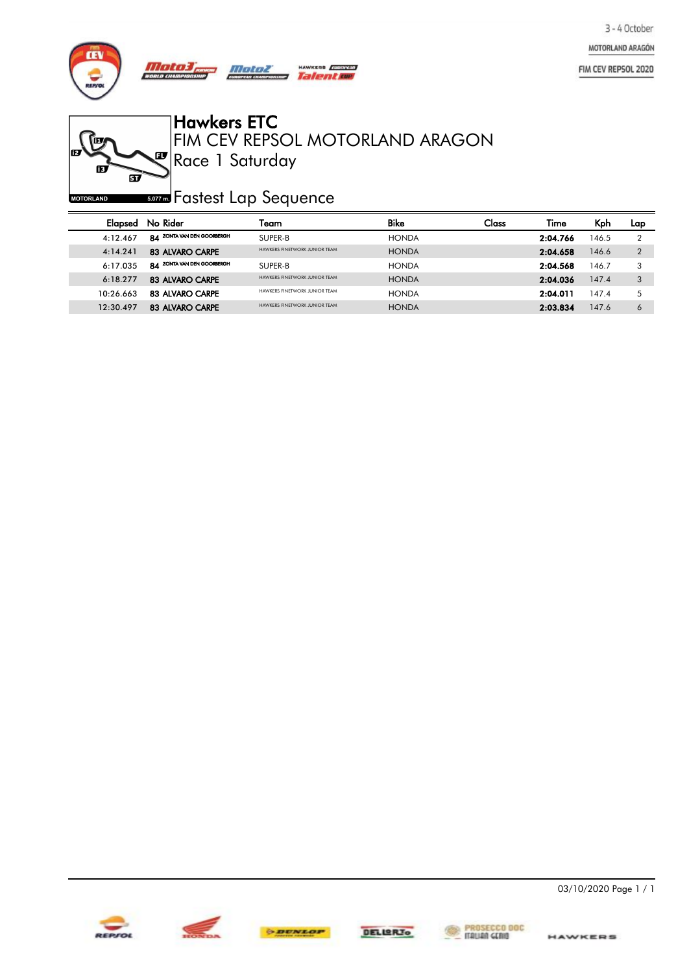MOTORLAND ARAGÓN

FIM CEV REPSOL 2020



**FEE** 

**MOTORLAND** 

Ø

ஏ

Hawkers ETC

Race 1 Saturday FIM CEV REPSOL MOTORLAND ARAGON

*so***za** Fastest Lap Sequence

| Elapsed   | No Rider                   | Team                          | <b>Bike</b>  | Class | Time     | Kph   | Lap |
|-----------|----------------------------|-------------------------------|--------------|-------|----------|-------|-----|
| 4:12.467  | 84 ZONTA VAN DEN GOORBERGH | SUPER-B                       | <b>HONDA</b> |       | 2:04.766 | 146.5 |     |
| 4:14.241  | 83 ALVARO CARPE            | HAWKERS FINETWORK JUNIOR TFAM | <b>HONDA</b> |       | 2:04.658 | 146.6 | റ   |
| 6:17.035  | 84 ZONTA VAN DEN GOORBERGH | SUPER-B                       | <b>HONDA</b> |       | 2:04.568 | 146.7 |     |
| 6:18.277  | 83 ALVARO CARPE            | HAWKERS FINETWORK JUNIOR TEAM | <b>HONDA</b> |       | 2:04.036 | 147.4 | 3   |
| 10.26663  | 83 ALVARO CARPE            | HAWKERS FINETWORK JUNIOR TFAM | <b>HONDA</b> |       | 2:04.011 | 147.4 |     |
| 12:30.497 | 83 ALVARO CARPE            | HAWKERS FINETWORK JUNIOR TFAM | <b>HONDA</b> |       | 2:03.834 | 147.6 | 6   |





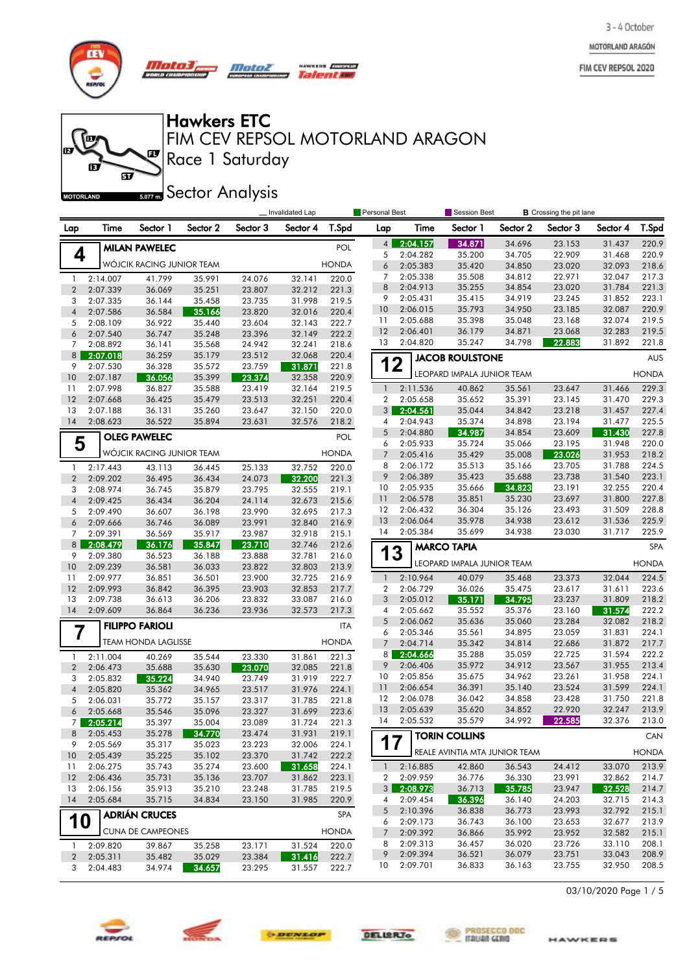MOTORLAND ARAGÓN

FIM CEV REPSOL 2020



**for** 

的

m

*Mata3, Motor* no cu

 $\mathbf{F}$ 

Hawkers ETC

Race 1 Saturday FIM CEV REPSOL MOTORLAND ARAGON

**Talent week** 

 $\widetilde{\mathbf{p}}$ **MOTORLAND** 

**Sector Analysis** 

|                |                      |                           |                  |                  | Invalidated Lap  |                | <b>Personal Best</b> |          | Session Best                  |          | <b>B</b> Crossing the pit lane |          |              |
|----------------|----------------------|---------------------------|------------------|------------------|------------------|----------------|----------------------|----------|-------------------------------|----------|--------------------------------|----------|--------------|
| Lap            | Time                 | Sector 1                  | Sector 2         | Sector 3         | Sector 4         | T.Spd          | Lap                  | Time     | Sector 1                      | Sector 2 | Sector 3                       | Sector 4 | T.Spd        |
|                |                      | <b>MILAN PAWELEC</b>      |                  |                  |                  | <b>POL</b>     | 4                    | 2:04.157 | 34.871                        | 34.696   | 23.153                         | 31.437   | 220.9        |
| 4              |                      |                           |                  |                  |                  |                | 5                    | 2:04.282 | 35.200                        | 34.705   | 22.909                         | 31.468   | 220.9        |
|                |                      | WÓJCIK RACING JUNIOR TEAM |                  |                  |                  | <b>HONDA</b>   | 6                    | 2:05.383 | 35.420                        | 34.850   | 23.020                         | 32.093   | 218.6        |
| $\mathbf{1}$   | 2:14.007             | 41.799                    | 35.991           | 24.076           | 32.141           | 220.0          | 7                    | 2:05.338 | 35.508                        | 34.812   | 22.971                         | 32.047   | 217.3        |
| $\overline{2}$ | 2:07.339             | 36.069                    | 35.251           | 23.807           | 32.212           | 221.3          | 8                    | 2:04.913 | 35.255                        | 34.854   | 23.020                         | 31.784   | 221.3        |
| 3              | 2:07.335             | 36.144                    | 35.458           | 23.735           | 31.998           | 219.5          | 9                    | 2:05.431 | 35.415                        | 34.919   | 23.245                         | 31.852   | 223.1        |
| $\overline{4}$ | 2:07.586             | 36.584                    | 35.166           | 23.820           | 32.016           | 220.4          | 10                   | 2:06.015 | 35.793                        | 34.950   | 23.185                         | 32.087   | 220.9        |
| 5              | 2:08.109             | 36.922                    | 35.440           | 23.604           | 32.143           | 222.7          | 11                   | 2:05.688 | 35.398                        | 35.048   | 23.168                         | 32.074   | 219.5        |
| 6              | 2:07.540             | 36.747                    | 35.248           | 23.396           | 32.149           | 222.2          | 12                   | 2:06.401 | 36.179                        | 34.871   | 23.068                         | 32.283   | 219.5        |
| 7              | 2:08.892             | 36.141                    | 35.568           | 24.942           | 32.241           | 218.6          | 13                   | 2:04.820 | 35.247                        | 34.798   | 22.883                         | 31.892   | 221.8        |
| 8 <sup>1</sup> | 2:07.018             | 36.259                    | 35.179           | 23.512           | 32.068           | 220.4          | 12                   |          | <b>JACOB ROULSTONE</b>        |          |                                |          | <b>AUS</b>   |
| 9<br>10        | 2:07.530<br>2:07.187 | 36.328<br>36.056          | 35.572<br>35.399 | 23.759<br>23.374 | 31.871<br>32.358 | 221.8<br>220.9 |                      |          | LEOPARD IMPALA JUNIOR TEAM    |          |                                |          | <b>HONDA</b> |
| 11             | 2:07.998             | 36.827                    | 35.588           | 23.419           | 32.164           | 219.5          | $\mathbf{1}$         | 2:11.536 | 40.862                        | 35.561   | 23.647                         | 31.466   | 229.3        |
| 12             | 2:07.668             | 36.425                    | 35.479           | 23.513           | 32.251           | 220.4          | 2                    | 2:05.658 | 35.652                        | 35.391   | 23.145                         | 31.470   | 229.3        |
| 13             | 2:07.188             | 36.131                    | 35.260           | 23.647           | 32.150           | 220.0          | 3 <sup>1</sup>       | 2:04.561 | 35.044                        | 34.842   | 23.218                         | 31.457   | 227.4        |
| 14             | 2:08.623             | 36.522                    | 35.894           | 23.631           | 32.576           | 218.2          | 4                    | 2:04.943 | 35.374                        | 34.898   | 23.194                         | 31.477   | 225.5        |
|                |                      | <b>OLEG PAWELEC</b>       |                  |                  |                  | <b>POL</b>     | 5                    | 2:04.880 | 34.987                        | 34.854   | 23.609                         | 31.430   | 227.8        |
| 5              |                      |                           |                  |                  |                  |                | 6                    | 2:05.933 | 35.724                        | 35.066   | 23.195                         | 31.948   | 220.0        |
|                |                      | WÓJCIK RACING JUNIOR TEAM |                  |                  |                  | <b>HONDA</b>   | $\overline{7}$       | 2:05.416 | 35.429                        | 35.008   | 23.026                         | 31.953   | 218.2        |
| $\mathbf{1}$   | 2:17.443             | 43.113                    | 36.445           | 25.133           | 32.752           | 220.0          | 8                    | 2:06.172 | 35.513                        | 35.166   | 23.705                         | 31.788   | 224.5        |
| $\overline{2}$ | 2:09.202             | 36.495                    | 36.434           | 24.073           | 32.200           | 221.3          | 9                    | 2:06.389 | 35.423                        | 35.688   | 23.738                         | 31.540   | 223.1        |
| 3              | 2:08.974             | 36.745                    | 35.879           | 23.795           | 32.555           | 219.1          | 10                   | 2:05.935 | 35.666                        | 34.823   | 23.191                         | 32.255   | 220.4        |
| $\overline{4}$ | 2:09.425             | 36.434                    | 36.204           | 24.114           | 32.673           | 215.6          | 11                   | 2:06.578 | 35.851                        | 35.230   | 23.697                         | 31.800   | 227.8        |
| 5              | 2:09.490             | 36.607                    | 36.198           | 23.990           | 32.695           | 217.3          | 12                   | 2:06.432 | 36.304                        | 35.126   | 23.493                         | 31.509   | 228.8        |
| 6              | 2:09.666             | 36.746                    | 36.089           | 23.991           | 32.840           | 216.9          | 13                   | 2:06.064 | 35.978                        | 34.938   | 23.612                         | 31.536   | 225.9        |
| 7              | 2:09.391             | 36.569                    | 35.917           | 23.987           | 32.918           | 215.1          | 14                   | 2:05.384 | 35.699                        | 34.938   | 23.030                         | 31.717   | 225.9        |
| 8              | 2:08.479             | 36.176                    | 35.847           | 23.710           | 32.746           | 212.6          | 13                   |          | <b>MARCO TAPIA</b>            |          |                                |          | <b>SPA</b>   |
| 9<br>10        | 2:09.380<br>2:09.239 | 36.523<br>36.581          | 36.188<br>36.033 | 23.888<br>23.822 | 32.781<br>32.803 | 216.0<br>213.9 |                      |          | LEOPARD IMPALA JUNIOR TEAM    |          |                                |          | <b>HONDA</b> |
| 11             | 2:09.977             | 36.851                    | 36.501           | 23.900           | 32.725           | 216.9          | $\mathbf{1}$         | 2:10.964 | 40.079                        | 35.468   | 23.373                         | 32.044   | 224.5        |
| 12             | 2:09.993             | 36.842                    | 36.395           | 23.903           | 32.853           | 217.7          | 2                    | 2:06.729 | 36.026                        | 35.475   | 23.617                         | 31.611   | 223.6        |
| 13             | 2:09.738             | 36.613                    | 36.206           | 23.832           | 33.087           | 216.0          | 3                    | 2:05.012 | 35.171                        | 34.795   | 23.237                         | 31.809   | 218.2        |
| 14             | 2:09.609             | 36.864                    | 36.236           | 23.936           | 32.573           | 217.3          | 4                    | 2:05.662 | 35.552                        | 35.376   | 23.160                         | 31.574   | 222.2        |
|                |                      |                           |                  |                  |                  |                | 5                    | 2:06.062 | 35.636                        | 35.060   | 23.284                         | 32.082   | 218.2        |
|                |                      | <b>FILIPPO FARIOLI</b>    |                  |                  |                  | <b>ITA</b>     | 6                    | 2:05.346 | 35.561                        | 34.895   | 23.059                         | 31.831   | 224.1        |
|                |                      | TEAM HONDA LAGLISSE       |                  |                  |                  | <b>HONDA</b>   | $\overline{7}$       | 2:04.714 | 35.342                        | 34.814   | 22.686                         | 31.872   | 217.7        |
| 1              | 2:11.004             | 40.269                    | 35.544           | 23.330           | 31.861           | 221.3          | 8                    | 2:04.666 | 35.288                        | 35.059   | 22.725                         | 31.594   | 222.2        |
| $\overline{2}$ | 2:06.473             | 35.688                    | 35.630           | 23.070           | 32.085           | 221.8          | 9                    | 2:06.406 | 35.972                        | 34.912   | 23.567                         | 31.955   | 213.4        |
| 3              | 2:05.832             | 35.224                    | 34.940           | 23.749           | 31.919           | 222.7          | 10                   | 2:05.856 | 35.675                        | 34.962   | 23.261                         | 31.958   | 224.1        |
| $\overline{4}$ | 2:05.820             | 35.362                    | 34.965           | 23.517           | 31.976           | 224.1          | 11                   | 2:06.654 | 36.391                        | 35.140   | 23.524                         | 31.599   | 224.1        |
| 5              | 2:06.031             | 35.772                    | 35.157           | 23.317           | 31.785           | 221.8          | 12                   | 2:06.078 | 36.042                        | 34.858   | 23.428                         | 31.750   | 221.8        |
| 6              | 2:05.668             | 35.546                    | 35.096           | 23.327           | 31.699           | 223.6          | 13                   | 2:05.639 | 35.620                        | 34.852   | 22.920                         | 32.247   | 213.9        |
| $\overline{7}$ | 2:05.214             | 35.397                    | 35.004           | 23.089           | 31.724           | 221.3          | 14                   | 2:05.532 | 35.579                        | 34.992   | 22.585                         | 32.376   | 213.0        |
| 8              | 2:05.453             | 35.278                    | 34.770           | 23.474           | 31.931           | 219.1          | 17                   |          | <b>TORIN COLLINS</b>          |          |                                |          | CAN          |
| 9              | 2:05.569             | 35.317                    | 35.023           | 23.223           | 32.006           | 224.1          |                      |          | REALE AVINTIA MTA JUNIOR TEAM |          |                                |          | <b>HONDA</b> |
| 10             | 2:05.439<br>2:06.275 | 35.225<br>35.743          | 35.102<br>35.274 | 23.370<br>23.600 | 31.742<br>31.658 | 222.2<br>224.1 | $\mathbf{1}$         | 2:16.885 | 42.860                        | 36.543   | 24.412                         | 33.070   | 213.9        |
| 11<br>12       | 2:06.436             | 35.731                    | 35.136           | 23.707           | 31.862           | 223.1          | 2                    | 2:09.959 | 36.776                        | 36.330   | 23.991                         | 32.862   | 214.7        |
| 13             | 2:06.156             | 35.913                    | 35.210           | 23.248           | 31.785           | 219.5          | $3 \mid$             | 2:08.973 | 36.713                        | 35.785   | 23.947                         | 32.528   | 214.7        |
| 14             | 2:05.684             | 35.715                    | 34.834           | 23.150           | 31.985           | 220.9          | 4                    | 2:09.454 | 36.396                        | 36.140   | 24.203                         | 32.715   | 214.3        |
|                |                      |                           |                  |                  |                  |                | 5                    | 2:10.396 | 36.838                        | 36.773   | 23.993                         | 32.792   | 215.1        |
| 10             |                      | <b>ADRIÁN CRUCES</b>      |                  |                  |                  | <b>SPA</b>     | 6                    | 2:09.173 | 36.743                        | 36.100   | 23.653                         | 32.677   | 213.9        |
|                |                      | <b>CUNA DE CAMPEONES</b>  |                  |                  |                  | <b>HONDA</b>   | 7                    | 2:09.392 | 36.866                        | 35.992   | 23.952                         | 32.582   | 215.1        |
| 1              | 2:09.820             | 39.867                    | 35.258           | 23.171           | 31.524           | 220.0          | 8                    | 2:09.313 | 36.457                        | 36.020   | 23.726                         | 33.110   | 208.1        |
| $\overline{2}$ | 2:05.311             | 35.482                    | 35.029           | 23.384           | 31.416           | 222.7          | 9                    | 2:09.394 | 36.521                        | 36.079   | 23.751                         | 33.043   | 208.9        |
| 3              | 2:04.483             | 34.974                    | 34.657           | 23.295           | 31.557           | 222.7          | 10                   | 2:09.701 | 36.833                        | 36.163   | 23.755                         | 32.950   | 208.5        |

03/10/2020 Page 1 / 5







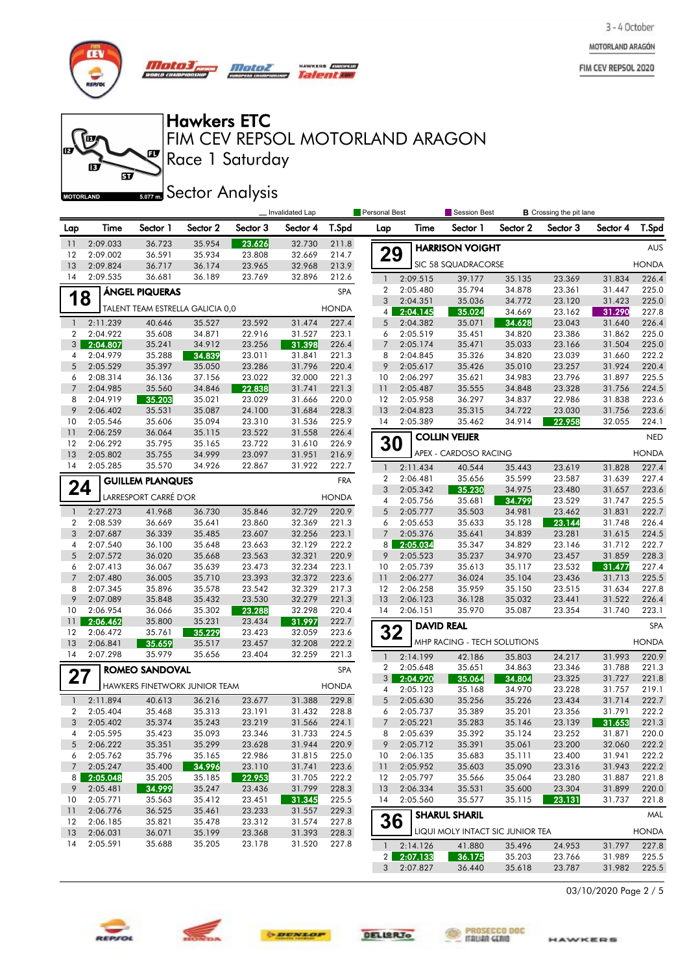MOTORLAND ARAGÓN

FIM CEV REPSOL 2020



**for** 

的

**MOTORLAND** 

m

*Motol)* Mataz un cu

 $\mathbf{F}$ 

 $\widetilde{\mathbf{p}}$ 

HAWKERS **EUROPESO** Talentoe

# Hawkers ETC

Race 1 Saturday FIM CEV REPSOL MOTORLAND ARAGON

**Sector Analysis** 

|                     |                      |                                  |                  |                  | Invalidated Lap  |                | <b>Personal Best</b> |                      | <b>Session Best</b>              |                  | <b>B</b> Crossing the pit lane |                  |                |
|---------------------|----------------------|----------------------------------|------------------|------------------|------------------|----------------|----------------------|----------------------|----------------------------------|------------------|--------------------------------|------------------|----------------|
| Lap                 | Time                 | Sector 1                         | Sector 2         | Sector 3         | Sector 4         | T.Spd          | Lap                  | Time                 | Sector 1                         | Sector 2         | Sector 3                       | Sector 4         | T.Spd          |
| 11                  | 2:09.033             | 36.723                           | 35.954           | 23.626           | 32.730           | 211.8          |                      |                      | <b>HARRISON VOIGHT</b>           |                  |                                |                  | <b>AUS</b>     |
| 12                  | 2:09.002             | 36.591                           | 35.934           | 23.808           | 32.669           | 214.7          | 29                   |                      |                                  |                  |                                |                  |                |
| 13                  | 2:09.824             | 36.717                           | 36.174           | 23.965           | 32.968           | 213.9          |                      |                      | SIC 58 SQUADRACORSE              |                  |                                |                  | <b>HONDA</b>   |
| 14                  | 2:09.535             | 36.681                           | 36.189           | 23.769           | 32.896           | 212.6          | $\mathbf{1}$         | 2:09.515             | 39.177                           | 35.135           | 23.369                         | 31.834           | 226.4          |
| 1                   | 8                    | ÁNGEL PIQUERAS                   |                  |                  |                  | SPA            | $\overline{2}$<br>3  | 2:05.480<br>2:04.351 | 35.794<br>35.036                 | 34.878<br>34.772 | 23.361<br>23.120               | 31.447<br>31.423 | 225.0<br>225.0 |
|                     |                      | TALENT TEAM ESTRELLA GALICIA 0,0 |                  |                  |                  | <b>HONDA</b>   | 4                    | 2:04.145             | 35.024                           | 34.669           | 23.162                         | 31.290           | 227.8          |
| $\mathbf{1}$        | 2:11.239             | 40.646                           | 35.527           | 23.592           | 31.474           | 227.4          | 5                    | 2:04.382             | 35.071                           | 34.628           | 23.043                         | 31.640           | 226.4          |
| $\overline{2}$      | 2:04.922             | 35.608                           | 34.871           | 22.916           | 31.527           | 223.1          | 6                    | 2:05.519             | 35.451                           | 34.820           | 23.386                         | 31.862           | 225.0          |
| 3                   | 2:04.807             | 35.241                           | 34.912           | 23.256           | 31.398           | 226.4          | $\overline{7}$       | 2:05.174             | 35.471                           | 35.033           | 23.166                         | 31.504           | 225.0          |
| 4                   | 2:04.979             | 35.288                           | 34.839           | 23.011           | 31.841           | 221.3          | 8                    | 2:04.845             | 35.326                           | 34.820           | 23.039                         | 31.660           | 222.2          |
| 5                   | 2:05.529             | 35.397                           | 35.050           | 23.286           | 31.796           | 220.4          | 9                    | 2:05.617             | 35.426                           | 35.010           | 23.257                         | 31.924           | 220.4          |
| 6                   | 2:08.314             | 36.136                           | 37.156           | 23.022           | 32.000           | 221.3          | 10                   | 2:06.297             | 35.621                           | 34.983           | 23.796                         | 31.897           | 225.5          |
| $\overline{7}$      | 2:04.985             | 35.560                           | 34.846           | 22.838           | 31.741           | 221.3          | 11                   | 2:05.487             | 35.555                           | 34.848           | 23.328                         | 31.756           | 224.5          |
| 8                   | 2:04.919             | 35.203                           | 35.021           | 23.029           | 31.666           | 220.0          | 12                   | 2:05.958             | 36.297                           | 34.837           | 22.986                         | 31.838           | 223.6          |
| 9                   | 2:06.402             | 35.531                           | 35.087           | 24.100           | 31.684           | 228.3          | 13                   | 2:04.823             | 35.315                           | 34.722           | 23.030                         | 31.756           | 223.6          |
| 10                  | 2:05.546             | 35.606                           | 35.094           | 23.310           | 31.536           | 225.9          | 14                   | 2:05.389             | 35.462                           | 34.914           | 22.958                         | 32.055           | 224.1          |
| 11<br>12            | 2:06.259             | 36.064<br>35.795                 | 35.115           | 23.522<br>23.722 | 31.558           | 226.4          |                      |                      | <b>COLLIN VEIJER</b>             |                  |                                |                  | <b>NED</b>     |
| 13                  | 2:06.292<br>2:05.802 | 35.755                           | 35.165<br>34.999 | 23.097           | 31.610<br>31.951 | 226.9<br>216.9 | 30                   |                      | APEX - CARDOSO RACING            |                  |                                |                  | <b>HONDA</b>   |
| 14                  | 2:05.285             | 35.570                           | 34.926           | 22.867           | 31.922           | 222.7          | $\mathbf{1}$         | 2:11.434             | 40.544                           | 35.443           | 23.619                         | 31.828           | 227.4          |
|                     |                      | <b>GUILLEM PLANQUES</b>          |                  |                  |                  | <b>FRA</b>     | 2                    | 2:06.481             | 35.656                           | 35.599           | 23.587                         | 31.639           | 227.4          |
| 24                  |                      |                                  |                  |                  |                  |                | 3                    | 2:05.342             | 35.230                           | 34.975           | 23.480                         | 31.657           | 223.6          |
|                     |                      | LARRESPORT CARRÉ D'OR            |                  |                  |                  | <b>HONDA</b>   | 4                    | 2:05.756             | 35.681                           | 34.799           | 23.529                         | 31.747           | 225.5          |
| $\mathbf{1}$        | 2:27.273             | 41.968                           | 36.730           | 35.846           | 32.729           | 220.9          | 5                    | 2:05.777             | 35.503                           | 34.981           | 23.462                         | 31.831           | 222.7          |
| $\overline{2}$      | 2:08.539             | 36.669                           | 35.641           | 23.860           | 32.369           | 221.3          | 6                    | 2:05.653             | 35.633                           | 35.128           | 23.144                         | 31.748           | 226.4          |
| 3                   | 2:07.687             | 36.339                           | 35.485           | 23.607           | 32.256           | 223.1          | $\overline{7}$       | 2:05.376             | 35.641                           | 34.839           | 23.281                         | 31.615           | 224.5          |
| 4                   | 2:07.540             | 36.100                           | 35.648           | 23.663           | 32.129           | 222.2          | 8                    | 2:05.034             | 35.347                           | 34.829           | 23.146                         | 31.712           | 222.7          |
| 5                   | 2:07.572             | 36.020                           | 35.668           | 23.563           | 32.321           | 220.9          | 9                    | 2:05.523             | 35.237                           | 34.970           | 23.457                         | 31.859           | 228.3          |
| 6                   | 2:07.413             | 36.067                           | 35.639           | 23.473           | 32.234           | 223.1          | 10                   | 2:05.739             | 35.613                           | 35.117           | 23.532                         | 31.477           | 227.4          |
| $\overline{7}$      | 2:07.480             | 36.005                           | 35.710           | 23.393           | 32.372           | 223.6          | 11                   | 2:06.277             | 36.024                           | 35.104           | 23.436                         | 31.713           | 225.5          |
| 8<br>9              | 2:07.345<br>2:07.089 | 35.896                           | 35.578           | 23.542           | 32.329<br>32.279 | 217.3<br>221.3 | 12<br>13             | 2:06.258             | 35.959                           | 35.150           | 23.515                         | 31.634<br>31.522 | 227.8<br>226.4 |
| 10                  | 2:06.954             | 35.848<br>36.066                 | 35.432<br>35.302 | 23.530<br>23.288 | 32.298           | 220.4          | 14                   | 2:06.123<br>2:06.151 | 36.128<br>35.970                 | 35.032<br>35.087 | 23.441<br>23.354               | 31.740           | 223.1          |
| 11                  | 2:06.462             | 35.800                           | 35.231           | 23.434           | 31.997           | 222.7          |                      |                      |                                  |                  |                                |                  |                |
| 12                  | 2:06.472             | 35.761                           | 35.229           | 23.423           | 32.059           | 223.6          | 32                   |                      | <b>DAVID REAL</b>                |                  |                                |                  | <b>SPA</b>     |
| 13                  | 2:06.841             | 35.659                           | 35.517           | 23.457           | 32.208           | 222.2          |                      |                      | MHP RACING - TECH SOLUTIONS      |                  |                                |                  | <b>HONDA</b>   |
| 14                  | 2:07.298             | 35.979                           | 35.656           | 23.404           | 32.259           | 221.3          | $\mathbf{1}$         | 2:14.199             | 42.186                           | 35.803           | 24.217                         | 31.993           | 220.9          |
|                     |                      | ROMEO SANDOVAL                   |                  |                  |                  | <b>SPA</b>     | 2                    | 2:05.648             | 35.651                           | 34.863           | 23.346                         | 31.788           | 221.3          |
| 27                  |                      |                                  |                  |                  |                  |                | 3 <sup>1</sup>       | 2:04.920             | 35.064                           | 34.804           | 23.325                         | 31.727           | 221.8          |
|                     |                      | HAWKERS FINETWORK JUNIOR TEAM    |                  |                  |                  | <b>HONDA</b>   | 4                    | 2:05.123             | 35.168                           | 34.970           | 23.228                         | 31.757           | 219.1          |
| $\mathbf{1}$        | 2:11.894             | 40.613                           | 36.216           | 23.677           | 31.388           | 229.8          | 5                    | 2:05.630             | 35.256                           | 35.226           | 23.434                         | 31.714           | 222.7          |
| $\overline{2}$      | 2:05.404             | 35.468                           | 35.313           | 23.191           | 31.432           | 228.8          | 6                    | 2:05.737             | 35.389                           | 35.201           | 23.356                         | 31.791           | 222.2          |
| 3                   | 2:05.402             | 35.374                           | 35.243           | 23.219           | 31.566           | 224.1          | $\overline{7}$       | 2:05.221             | 35.283                           | 35.146           | 23.139                         | 31.653           | 221.3          |
| 4                   | 2:05.595             | 35.423                           | 35.093           | 23.346           | 31.733           | 224.5          | 8                    | 2:05.639             | 35.392                           | 35.124           | 23.252                         | 31.871           | 220.0          |
| 5                   | 2:06.222             | 35.351                           | 35.299           | 23.628           | 31.944           | 220.9          | 9                    | 2:05.712             | 35.391                           | 35.061           | 23.200                         | 32.060           | 222.2          |
| 6                   | 2:05.762             | 35.796                           | 35.165           | 22.986           | 31.815           | 225.0          | 10                   | 2:06.135             | 35.683                           | 35.111           | 23.400                         | 31.941           | 222.2          |
| $\overline{7}$      | 2:05.247             | 35.400                           | 34.996           | 23.110           | 31.741           | 223.6          | 11                   | 2:05.952             | 35.603                           | 35.090           | 23.316<br>23.280               | 31.943           | 222.2          |
| 8 <sup>1</sup><br>9 | 2:05.048<br>2:05.481 | 35.205<br>34.999                 | 35.185<br>35.247 | 22.953<br>23.436 | 31.705<br>31.799 | 222.2<br>228.3 | 12<br>13             | 2:05.797<br>2:06.334 | 35.566<br>35.531                 | 35.064<br>35.600 | 23.304                         | 31.887<br>31.899 | 221.8<br>220.0 |
| 10                  | 2:05.771             | 35.563                           | 35.412           | 23.451           | 31.345           | 225.5          | 14                   | 2:05.560             | 35.577                           | 35.115           | 23.131                         | 31.737           | 221.8          |
| 11                  | 2:06.776             | 36.525                           | 35.461           | 23.233           | 31.557           | 229.3          |                      |                      |                                  |                  |                                |                  |                |
| $12 \,$             | 2:06.185             | 35.821                           | 35.478           | 23.312           | 31.574           | 227.8          | 36                   |                      | <b>SHARUL SHARIL</b>             |                  |                                |                  | MAL            |
| 13                  | 2:06.031             | 36.071                           | 35.199           | 23.368           | 31.393           | 228.3          |                      |                      | LIQUI MOLY INTACT SIC JUNIOR TEA |                  |                                |                  | <b>HONDA</b>   |
| 14                  | 2:05.591             | 35.688                           | 35.205           | 23.178           | 31.520           | 227.8          | $\mathbf{1}$         | 2:14.126             | 41.880                           | 35.496           | 24.953                         | 31.797           | 227.8          |
|                     |                      |                                  |                  |                  |                  |                | 2 <sup>1</sup>       | 2:07.133             | 36.175                           | 35.203           | 23.766                         | 31.989           | 225.5          |
|                     |                      |                                  |                  |                  |                  |                |                      | 3 2:07.827           | 36.440                           | 35.618           | 23.787                         | 31.982           | 225.5          |

03/10/2020 Page 2 / 5







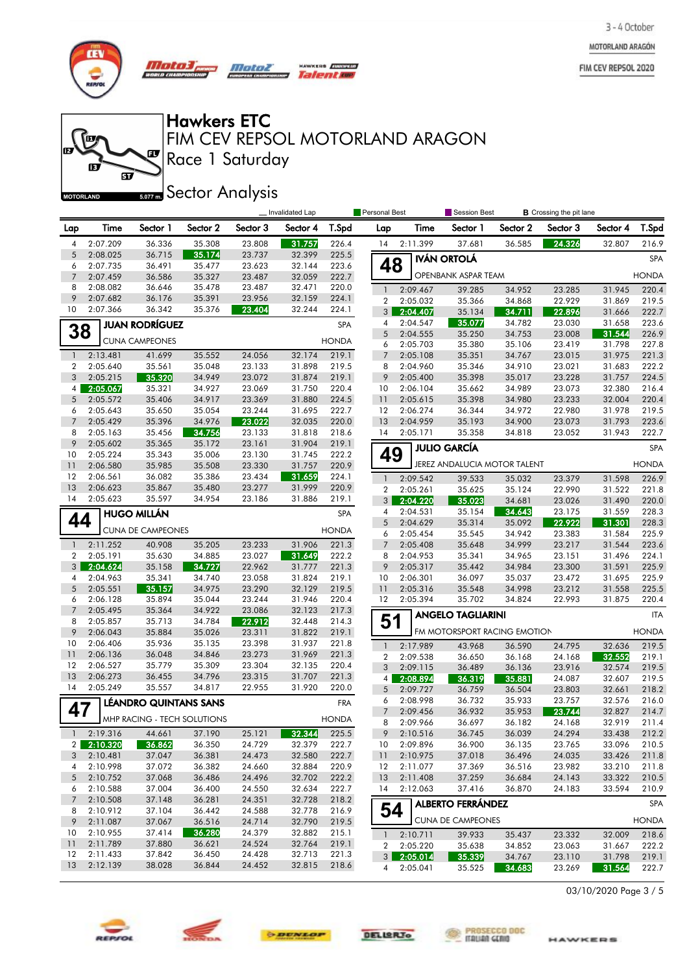MOTORLAND ARAGÓN

FIM CEV REPSOL 2020



**for** 

府

**MOTORLAND** 

m

*Mato3, Motor* un cu

 $\mathbf{F}$ 

 $\widetilde{\mathbf{w}}$ 

**HAWKERS** *Quanese*<br>Talent kupi

### Hawkers ETC

Race 1 Saturday FIM CEV REPSOL MOTORLAND ARAGON

**Sector Analysis** 

|                |                      |                          |                             |                  | Invalidated Lap  |                | <b>Personal Best</b> |                      | Session Best                 |                  | <b>B</b> Crossing the pit lane |                  |                |
|----------------|----------------------|--------------------------|-----------------------------|------------------|------------------|----------------|----------------------|----------------------|------------------------------|------------------|--------------------------------|------------------|----------------|
| Lap            | Time                 | Sector 1                 | Sector 2                    | Sector 3         | Sector 4         | T.Spd          | Lap                  | Time                 | Sector 1                     | Sector 2         | Sector 3                       | Sector 4         | T.Spd          |
| 4              | 2:07.209             | 36.336                   | 35.308                      | 23.808           | 31.757           | 226.4          | 14                   | 2:11.399             | 37.681                       | 36.585           | 24.326                         | 32.807           | 216.9          |
| 5              | 2:08.025             | 36.715                   | 35.174                      | 23.737           | 32.399           | 225.5          |                      |                      | <b>IVÁN ORTOLÁ</b>           |                  |                                |                  | <b>SPA</b>     |
| 6              | 2:07.735             | 36.491                   | 35.477                      | 23.623           | 32.144           | 223.6          | 48                   |                      |                              |                  |                                |                  |                |
| 7              | 2:07.459             | 36.586                   | 35.327                      | 23.487           | 32.059           | 222.7          |                      |                      | OPENBANK ASPAR TEAM          |                  |                                |                  | <b>HONDA</b>   |
| 8<br>9         | 2:08.082             | 36.646                   | 35.478<br>35.391            | 23.487           | 32.471<br>32.159 | 220.0          | $\mathbf{1}$         | 2:09.467             | 39.285                       | 34.952           | 23.285                         | 31.945           | 220.4          |
| 10             | 2:07.682<br>2:07.366 | 36.176<br>36.342         | 35.376                      | 23.956<br>23.404 | 32.244           | 224.1<br>224.1 | 2                    | 2:05.032             | 35.366                       | 34.868           | 22.929                         | 31.869           | 219.5          |
|                |                      |                          |                             |                  |                  |                | 3                    | 2:04.407<br>2:04.547 | 35.134<br>35.077             | 34.711<br>34.782 | 22.896<br>23.030               | 31.666<br>31.658 | 222.7<br>223.6 |
| 38             |                      | <b>JUAN RODRÍGUEZ</b>    |                             |                  |                  | SPA            | 4<br>5               | 2:04.555             | 35.250                       | 34.753           | 23.008                         | 31.544           | 226.9          |
|                |                      | <b>CUNA CAMPEONES</b>    |                             |                  |                  | <b>HONDA</b>   | 6                    | 2:05.703             | 35.380                       | 35.106           | 23.419                         | 31.798           | 227.8          |
| $\mathbf{1}$   | 2:13.481             | 41.699                   | 35.552                      | 24.056           | 32.174           | 219.1          | $\overline{7}$       | 2:05.108             | 35.351                       | 34.767           | 23.015                         | 31.975           | 221.3          |
| 2              | 2:05.640             | 35.561                   | 35.048                      | 23.133           | 31.898           | 219.5          | 8                    | 2:04.960             | 35.346                       | 34.910           | 23.021                         | 31.683           | 222.2          |
| 3              | 2:05.215             | 35.320                   | 34.949                      | 23.072           | 31.874           | 219.1          | 9                    | 2:05.400             | 35.398                       | 35.017           | 23.228                         | 31.757           | 224.5          |
| 4              | 2:05.067             | 35.321                   | 34.927                      | 23.069           | 31.750           | 220.4          | 10                   | 2:06.104             | 35.662                       | 34.989           | 23.073                         | 32.380           | 216.4          |
| 5              | 2:05.572             | 35.406                   | 34.917                      | 23.369           | 31.880           | 224.5          | 11                   | 2:05.615             | 35.398                       | 34.980           | 23.233                         | 32.004           | 220.4          |
| 6              | 2:05.643             | 35.650                   | 35.054                      | 23.244           | 31.695           | 222.7          | 12                   | 2:06.274             | 36.344                       | 34.972           | 22.980                         | 31.978           | 219.5          |
| $\overline{7}$ | 2:05.429             | 35.396                   | 34.976                      | 23.022           | 32.035           | 220.0          | 13                   | 2:04.959             | 35.193                       | 34.900           | 23.073                         | 31.793           | 223.6          |
| 8<br>9         | 2:05.163<br>2:05.602 | 35.456<br>35.365         | 34.756<br>35.172            | 23.133<br>23.161 | 31.818<br>31.904 | 218.6<br>219.1 | 14                   | 2:05.171             | 35.358                       | 34.818           | 23.052                         | 31.943           | 222.7          |
| 10             | 2:05.224             | 35.343                   | 35.006                      | 23.130           | 31.745           | 222.2          | 49                   |                      | <b>JULIO GARCÍA</b>          |                  |                                |                  | <b>SPA</b>     |
| 11             | 2:06.580             | 35.985                   | 35.508                      | 23.330           | 31.757           | 220.9          |                      |                      | JEREZ ANDALUCIA MOTOR TALENT |                  |                                |                  | <b>HONDA</b>   |
| 12             | 2:06.561             | 36.082                   | 35.386                      | 23.434           | 31.659           | 224.1          | 1                    | 2:09.542             | 39.533                       | 35.032           | 23.379                         | 31.598           | 226.9          |
| 13             | 2:06.623             | 35.867                   | 35.480                      | 23.277           | 31.999           | 220.9          | $\overline{2}$       | 2:05.261             | 35.625                       | 35.124           | 22.990                         | 31.522           | 221.8          |
| 14             | 2:05.623             | 35.597                   | 34.954                      | 23.186           | 31.886           | 219.1          | 3                    | 2:04.220             | 35.023                       | 34.681           | 23.026                         | 31.490           | 220.0          |
|                |                      | <b>HUGO MILLÁN</b>       |                             |                  |                  | SPA            | 4                    | 2:04.531             | 35.154                       | 34.643           | 23.175                         | 31.559           | 228.3          |
| 44             |                      |                          |                             |                  |                  |                | 5                    | 2:04.629             | 35.314                       | 35.092           | 22.922                         | 31.301           | 228.3          |
|                |                      | <b>CUNA DE CAMPEONES</b> |                             |                  |                  | <b>HONDA</b>   | 6                    | 2:05.454             | 35.545                       | 34.942           | 23.383                         | 31.584           | 225.9          |
| $\mathbf{1}$   | 2:11.252             | 40.908                   | 35.205                      | 23.233           | 31.906           | 221.3          | $\overline{7}$       | 2:05.408             | 35.648                       | 34.999           | 23.217                         | 31.544           | 223.6          |
| 2              | 2:05.191             | 35.630                   | 34.885                      | 23.027           | 31.649           | 222.2          | 8                    | 2:04.953             | 35.341                       | 34.965           | 23.151                         | 31.496           | 224.1          |
| 3              | 2:04.624             | 35.158                   | 34.727                      | 22.962           | 31.777           | 221.3          | 9                    | 2:05.317             | 35.442                       | 34.984           | 23.300                         | 31.591           | 225.9          |
| 4<br>5         | 2:04.963<br>2:05.551 | 35.341<br>35.157         | 34.740<br>34.975            | 23.058<br>23.290 | 31.824<br>32.129 | 219.1<br>219.5 | 10<br>11             | 2:06.301<br>2:05.316 | 36.097<br>35.548             | 35.037<br>34.998 | 23.472                         | 31.695<br>31.558 | 225.9<br>225.5 |
| 6              | 2:06.128             | 35.894                   | 35.044                      | 23.244           | 31.946           | 220.4          | 12                   | 2:05.394             | 35.702                       | 34.824           | 23.212<br>22.993               | 31.875           | 220.4          |
| 7              | 2:05.495             | 35.364                   | 34.922                      | 23.086           | 32.123           | 217.3          |                      |                      |                              |                  |                                |                  |                |
| 8              | 2:05.857             | 35.713                   | 34.784                      | 22.912           | 32.448           | 214.3          | 51                   |                      | <b>ANGELO TAGLIARINI</b>     |                  |                                |                  | <b>ITA</b>     |
| 9              | 2:06.043             | 35.884                   | 35.026                      | 23.311           | 31.822           | 219.1          |                      |                      | FM MOTORSPORT RACING EMOTION |                  |                                |                  | <b>HONDA</b>   |
| 10             | 2:06.406             | 35.936                   | 35.135                      | 23.398           | 31.937           | 221.8          | $\mathbf{1}$         | 2:17.989             | 43.968                       | 36.590           | 24.795                         | 32.636           | 219.5          |
| 11             | 2:06.136             | 36.048                   | 34.846                      | 23.273           | 31.969           | 221.3          | $\overline{2}$       | 2:09.538             | 36.650                       | 36.168           | 24.168                         | 32.552           | 219.1          |
| 12             | 2:06.527             | 35.779                   | 35.309                      | 23.304           | 32.135           | 220.4          | 3                    | 2:09.115             | 36.489                       | 36.136           | 23.916                         | 32.574           | 219.5          |
| 13             | 2:06.273             | 36.455                   | 34.796                      | 23.315           | 31.707           | 221.3          | 4                    | 2:08.894             | 36.319                       | 35.881           | 24.087                         | 32.607           | 219.5          |
| 14             | 2:05.249             | 35.557                   | 34.817                      | 22.955           | 31.920           | 220.0          | 5                    | 2:09.727             | 36.759                       | 36.504           | 23.803                         | 32.661           | 218.2          |
|                |                      |                          | LÉANDRO QUINTANS SANS       |                  |                  | <b>FRA</b>     | 6                    | 2:08.998             | 36.732                       | 35.933           | 23.757                         | 32.576           | 216.0          |
| 47             |                      |                          | MHP RACING - TECH SOLUTIONS |                  |                  | <b>HONDA</b>   | $\overline{7}$       | 2:09.456             | 36.932                       | 35.953           | 23.744                         | 32.827<br>32.919 | 214.7          |
| $\mathbf{1}$   | 2:19.316             | 44.661                   | 37.190                      | 25.121           | 32.344           | 225.5          | 8<br>9               | 2:09.966<br>2:10.516 | 36.697<br>36.745             | 36.182<br>36.039 | 24.168<br>24.294               | 33.438           | 211.4<br>212.2 |
| $\mathbf{2}$   | 2:10.320             | 36.862                   | 36.350                      | 24.729           | 32.379           | 222.7          | 10                   | 2:09.896             | 36.900                       | 36.135           | 23.765                         | 33.096           | 210.5          |
| 3              | 2:10.481             | 37.047                   | 36.381                      | 24.473           | 32.580           | 222.7          | 11                   | 2:10.975             | 37.018                       | 36.496           | 24.035                         | 33.426           | 211.8          |
| 4              | 2:10.998             | 37.072                   | 36.382                      | 24.660           | 32.884           | 220.9          | 12                   | 2:11.077             | 37.369                       | 36.516           | 23.982                         | 33.210           | 211.8          |
| 5              | 2:10.752             | 37.068                   | 36.486                      | 24.496           | 32.702           | 222.2          | 13                   | 2:11.408             | 37.259                       | 36.684           | 24.143                         | 33.322           | 210.5          |
| 6              | 2:10.588             | 37.004                   | 36.400                      | 24.550           | 32.634           | 222.7          | 14                   | 2:12.063             | 37.416                       | 36.870           | 24.183                         | 33.594           | 210.9          |
| $\overline{7}$ | 2:10.508             | 37.148                   | 36.281                      | 24.351           | 32.728           | 218.2          |                      |                      | <b>ALBERTO FERRÁNDEZ</b>     |                  |                                |                  | SPA            |
| 8              | 2:10.912             | 37.104                   | 36.442                      | 24.588           | 32.778           | 216.9          | 54                   |                      |                              |                  |                                |                  |                |
| 9              | 2:11.087             | 37.067                   | 36.516                      | 24.714           | 32.790           | 219.5          |                      |                      | <b>CUNA DE CAMPEONES</b>     |                  |                                |                  | <b>HONDA</b>   |
| 10             | 2:10.955             | 37.414                   | 36.280                      | 24.379           | 32.882           | 215.1          | $\mathbf{1}$         | 2:10.711             | 39.933                       | 35.437           | 23.332                         | 32.009           | 218.6          |
| 11             | 2:11.789             | 37.880                   | 36.621                      | 24.524           | 32.764           | 219.1          | $\overline{2}$       | 2:05.220             | 35.638                       | 34.852           | 23.063                         | 31.667           | 222.2          |
| 12<br>13       | 2:11.433<br>2:12.139 | 37.842<br>38.028         | 36.450<br>36.844            | 24.428<br>24.452 | 32.713<br>32.815 | 221.3<br>218.6 | 3 <sup>1</sup>       | 2:05.014             | 35.339                       | 34.767           | 23.110                         | 31.798           | 219.1          |
|                |                      |                          |                             |                  |                  |                | 4                    | 2:05.041             | 35.525                       | 34.683           | 23.269                         | 31.564           | 222.7          |

03/10/2020 Page 3 / 5







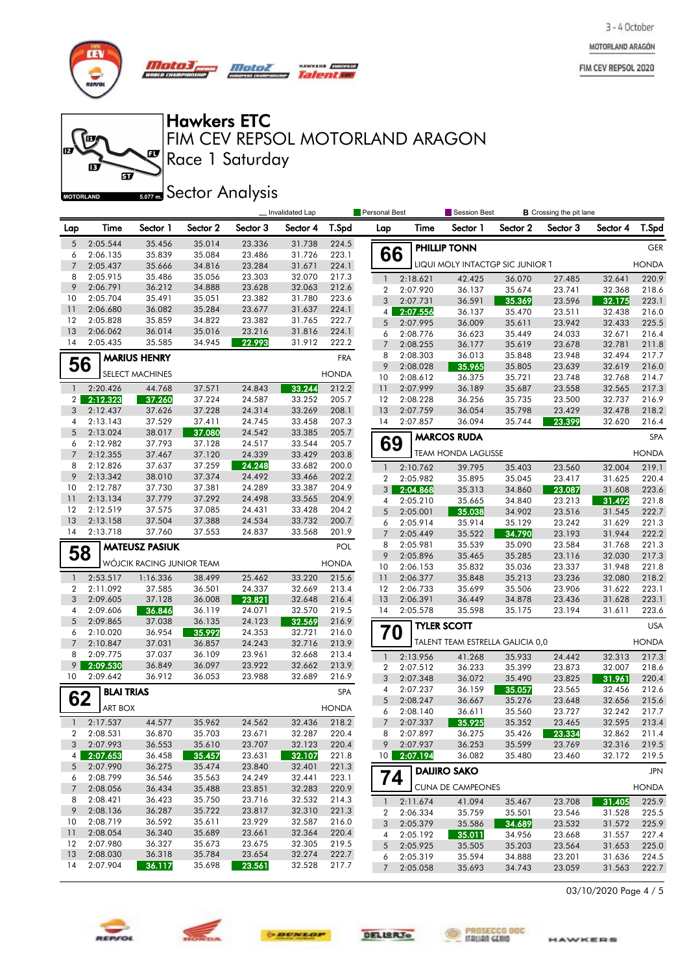MOTORLAND ARAGÓN

FIM CEV REPSOL 2020



**fo** m

 $\mathbf{E}$ 

**MOTORLAND** 

*Mata3, Motor* un cu

 $\mathbf{F}$ 

<u>මි</u>

HAWKERS **FURNISH** Talentoe

# Hawkers ETC

Race 1 Saturday FIM CEV REPSOL MOTORLAND ARAGON

**Sector Analysis** 

|                     |                      |                           |                  |                  | Invalidated Lap  |                | Personal Best       |                      | Session Best                     |                  | <b>B</b> Crossing the pit lane |                  |                |
|---------------------|----------------------|---------------------------|------------------|------------------|------------------|----------------|---------------------|----------------------|----------------------------------|------------------|--------------------------------|------------------|----------------|
| Lap                 | Time                 | Sector 1                  | Sector 2         | Sector 3         | Sector 4         | T.Spd          | Lap                 | Time                 | Sector 1                         | Sector 2         | Sector 3                       | Sector 4         | T.Spd          |
| 5                   | 2:05.544             | 35.456                    | 35.014           | 23.336           | 31.738           | 224.5          |                     |                      | <b>PHILLIP TONN</b>              |                  |                                |                  | <b>GER</b>     |
| 6                   | 2:06.135             | 35.839                    | 35.084           | 23.486           | 31.726           | 223.1          | 66                  |                      |                                  |                  |                                |                  |                |
| $\overline{7}$      | 2:05.437             | 35.666                    | 34.816           | 23.284           | 31.671           | 224.1          |                     |                      | LIQUI MOLY INTACTGP SIC JUNIOR 1 |                  |                                |                  | <b>HONDA</b>   |
| 8                   | 2:05.915             | 35.486                    | 35.056           | 23.303           | 32.070           | 217.3          | $\mathbf{1}$        | 2:18.621             | 42.425                           | 36.070           | 27.485                         | 32.641           | 220.9          |
| 9                   | 2:06.791             | 36.212                    | 34.888           | 23.628           | 32.063           | 212.6          | $\overline{2}$      | 2:07.920             | 36.137                           | 35.674           | 23.741                         | 32.368           | 218.6          |
| 10                  | 2:05.704             | 35.491                    | 35.051           | 23.382           | 31.780           | 223.6          | 3                   | 2:07.731             | 36.591                           | 35.369           | 23.596                         | 32.175           | 223.1          |
| 11                  | 2:06.680             | 36.082                    | 35.284           | 23.677           | 31.637           | 224.1          |                     | 4 2:07.556           | 36.137                           | 35.470           | 23.511                         | 32.438           | 216.0          |
| 12                  | 2:05.828             | 35.859                    | 34.822           | 23.382           | 31.765           | 222.7          | 5                   | 2:07.995             | 36.009                           | 35.611           | 23.942                         | 32.433           | 225.5          |
| 13                  | 2:06.062             | 36.014                    | 35.016           | 23.216           | 31.816           | 224.1          | 6                   | 2:08.776             | 36.623                           | 35.449           | 24.033                         | 32.671           | 216.4          |
| 14                  | 2:05.435             | 35.585                    | 34.945           | 22.993           | 31.912           | 222.2          | $\overline{7}$      | 2:08.255             | 36.177                           | 35.619           | 23.678                         | 32.781           | 211.8          |
|                     |                      | <b>MARIUS HENRY</b>       |                  |                  |                  | <b>FRA</b>     | 8                   | 2:08.303             | 36.013                           | 35.848           | 23.948                         | 32.494           | 217.7          |
| 56                  |                      | <b>SELECT MACHINES</b>    |                  |                  |                  | <b>HONDA</b>   | 9                   | 2:08.028             | 35.965                           | 35.805           | 23.639                         | 32.619           | 216.0          |
|                     |                      |                           |                  |                  |                  |                | 10                  | 2:08.612             | 36.375                           | 35.721           | 23.748                         | 32.768           | 214.7          |
| $\mathbf{1}$        | 2:20.426             | 44.768                    | 37.571           | 24.843           | 33.244           | 212.2          | 11                  | 2:07.999             | 36.189                           | 35.687           | 23.558                         | 32.565           | 217.3          |
| 2 <sub>1</sub>      | 2:12.323             | 37.260                    | 37.224           | 24.587           | 33.252           | 205.7          | 12<br>13            | 2:08.228             | 36.256                           | 35.735           | 23.500                         | 32.737           | 216.9          |
| 3<br>4              | 2:12.437             | 37.626<br>37.529          | 37.228           | 24.314           | 33.269           | 208.1<br>207.3 | 14                  | 2:07.759             | 36.054                           | 35.798           | 23.429<br>23.399               | 32.478           | 218.2          |
| 5                   | 2:13.143<br>2:13.024 | 38.017                    | 37.411<br>37.080 | 24.745<br>24.542 | 33.458<br>33.385 | 205.7          |                     | 2:07.857             | 36.094                           | 35.744           |                                | 32.620           | 216.4          |
| 6                   | 2:12.982             | 37.793                    | 37.128           | 24.517           | 33.544           | 205.7          | 69                  |                      | <b>MARCOS RUDA</b>               |                  |                                |                  | <b>SPA</b>     |
| $\overline{7}$      | 2:12.355             | 37.467                    | 37.120           | 24.339           | 33.429           | 203.8          |                     |                      | <b>TEAM HONDA LAGLISSE</b>       |                  |                                |                  | <b>HONDA</b>   |
| 8                   | 2:12.826             | 37.637                    | 37.259           | 24.248           | 33.682           | 200.0          | $\mathbf{1}$        | 2:10.762             | 39.795                           |                  |                                | 32.004           | 219.1          |
| 9                   | 2:13.342             | 38.010                    | 37.374           | 24.492           | 33.466           | 202.2          | $\overline{2}$      | 2:05.982             | 35.895                           | 35.403<br>35.045 | 23.560<br>23.417               | 31.625           | 220.4          |
| 10                  | 2:12.787             | 37.730                    | 37.381           | 24.289           | 33.387           | 204.9          | 3 <sup>1</sup>      | 2:04.868             | 35.313                           | 34.860           | 23.087                         | 31.608           | 223.6          |
| 11                  | 2:13.134             | 37.779                    | 37.292           | 24.498           | 33.565           | 204.9          | 4                   | 2:05.210             | 35.665                           | 34.840           | 23.213                         | 31.492           | 221.8          |
| 12                  | 2:12.519             | 37.575                    | 37.085           | 24.431           | 33.428           | 204.2          | 5                   | 2:05.001             | 35.038                           | 34.902           | 23.516                         | 31.545           | 222.7          |
| 13                  | 2:13.158             | 37.504                    | 37.388           | 24.534           | 33.732           | 200.7          | 6                   | 2:05.914             | 35.914                           | 35.129           | 23.242                         | 31.629           | 221.3          |
| 14                  | 2:13.718             | 37.760                    | 37.553           | 24.837           | 33.568           | 201.9          | $\overline{7}$      | 2:05.449             | 35.522                           | 34.790           | 23.193                         | 31.944           | 222.2          |
|                     |                      | <b>MATEUSZ PASIUK</b>     |                  |                  |                  | POL            | 8                   | 2:05.981             | 35.539                           | 35.090           | 23.584                         | 31.768           | 221.3          |
| 58                  |                      |                           |                  |                  |                  |                | 9                   | 2:05.896             | 35.465                           | 35.285           | 23.116                         | 32.030           | 217.3          |
|                     |                      | WÓJCIK RACING JUNIOR TEAM |                  |                  |                  | <b>HONDA</b>   | 10                  | 2:06.153             | 35.832                           | 35.036           | 23.337                         | 31.948           | 221.8          |
| $\mathbf{1}$        | 2:53.517             | 1:16.336                  | 38.499           | 25.462           | 33.220           | 215.6          | 11                  | 2:06.377             | 35.848                           | 35.213           | 23.236                         | 32.080           | 218.2          |
| 2                   | 2:11.092             | 37.585                    | 36.501           | 24.337           | 32.669           | 213.4          | 12                  | 2:06.733             | 35.699                           | 35.506           | 23.906                         | 31.622           | 223.1          |
| 3                   | 2:09.605             | 37.128                    | 36.008           | 23.821           | 32.648           | 216.4          | 13                  | 2:06.391             | 36.449                           | 34.878           | 23.436                         | 31.628           | 223.1          |
| 4                   | 2:09.606             | 36.846                    | 36.119           | 24.071           | 32.570           | 219.5          | 14                  | 2:05.578             | 35.598                           | 35.175           | 23.194                         | 31.611           | 223.6          |
| 5                   | 2:09.865             | 37.038                    | 36.135           | 24.123           | 32.569           | 216.9          |                     |                      | <b>TYLER SCOTT</b>               |                  |                                |                  | <b>USA</b>     |
| 6                   | 2:10.020             | 36.954                    | 35.992           | 24.353           | 32.721           | 216.0          | 70                  |                      |                                  |                  |                                |                  |                |
| $\overline{7}$      | 2:10.847             | 37.031                    | 36.857           | 24.243           | 32.716           | 213.9          |                     |                      | TALENT TEAM ESTRELLA GALICIA 0,0 |                  |                                |                  | <b>HONDA</b>   |
| 8                   | 2:09.775             | 37.037                    | 36.109           | 23.961           | 32.668           | 213.4          | $\mathbf{1}$        | 2:13.956             | 41.268                           | 35.933           | 24.442                         | 32.313           | 217.3          |
| 9 <sup>1</sup>      | 2:09.530             | 36.849                    | 36.097           | 23.922           | 32.662           | 213.9          | $\overline{2}$      | 2:07.512             | 36.233                           | 35.399           | 23.873                         | 32.007           | 218.6          |
| 10                  | 2:09.642             | 36.912                    | 36.053           | 23.988           | 32.689           | 216.9          | 3                   | 2:07.348             | 36.072                           | 35.490           | 23.825                         | 31.961           | 220.4          |
|                     | <b>BLAI TRIAS</b>    |                           |                  |                  |                  | SPA            | 4                   | 2:07.237             | 36.159                           | 35.057           | 23.565                         | 32.456           | 212.6          |
| 62                  | <b>ART BOX</b>       |                           |                  |                  |                  | <b>HONDA</b>   | 5                   | 2:08.247             | 36.667                           | 35.276           | 23.648                         | 32.656           | 215.6          |
|                     |                      |                           |                  |                  |                  |                | 6                   | 2:08.140             | 36.611                           | 35.560           | 23.727                         | 32.242           | 217.7          |
| $\mathbf{1}$        | 2:17.537             | 44.577                    | 35.962           | 24.562           | 32.436           | 218.2          | $7^{\circ}$         | 2:07.337             | 35.925                           | 35.352           | 23.465                         | 32.595           | 213.4          |
| $\mathbf{2}$        | 2:08.531             | 36.870                    | 35.703           | 23.671           | 32.287           | 220.4          |                     | 8 2:07.897           | 36.275                           | 35.426           | 23.334                         | 32.862           | 211.4          |
| 3                   | 2:07.993             | 36.553                    | 35.610           | 23.707           | 32.123           | 220.4          | 9                   | 2:07.937             | 36.253                           | 35.599           | 23.769                         | 32.316           | 219.5          |
| 4 <sup>1</sup>      | 2:07.653             | 36.458                    | 35.457           | 23.631           | 32.107           | 221.8          |                     | 10 2:07.194          | 36.082                           | 35.480           | 23.460                         | 32.172           | 219.5          |
| 5                   | 2:07.990             | 36.275                    | 35.474           | 23.840           | 32.401           | 221.3          | 74                  |                      | <b>DAIJIRO SAKO</b>              |                  |                                |                  | <b>JPN</b>     |
| 6<br>$\overline{7}$ | 2:08.799<br>2:08.056 | 36.546<br>36.434          | 35.563<br>35.488 | 24.249<br>23.851 | 32.441<br>32.283 | 223.1<br>220.9 |                     |                      | <b>CUNA DE CAMPEONES</b>         |                  |                                |                  | <b>HONDA</b>   |
| 8                   | 2:08.421             | 36.423                    | 35.750           | 23.716           | 32.532           | 214.3          |                     |                      |                                  |                  |                                |                  |                |
| 9                   | 2:08.136             | 36.287                    | 35.722           | 23.817           | 32.310           | 221.3          | $\mathbf{1}$        | 2:11.674             | 41.094                           | 35.467           | 23.708                         | 31.405           | 225.9          |
| 10                  | 2:08.719             | 36.592                    | 35.611           | 23.929           | 32.587           | 216.0          | $\overline{2}$<br>3 | 2:06.334<br>2:05.379 | 35.759<br>35.586                 | 35.501<br>34.689 | 23.546<br>23.532               | 31.528           | 225.5<br>225.9 |
| 11                  | 2:08.054             | 36.340                    | 35.689           | 23.661           | 32.364           | 220.4          | 4                   | 2:05.192             | 35.011                           | 34.956           | 23.668                         | 31.572<br>31.557 | 227.4          |
| $12 \,$             | 2:07.980             | 36.327                    | 35.673           | 23.675           | 32.305           | 219.5          | 5                   | 2:05.925             | 35.505                           | 35.203           | 23.564                         | 31.653           | 225.0          |
| 13                  | 2:08.030             | 36.318                    | 35.784           | 23.654           | 32.274           | 222.7          | 6                   | 2:05.319             | 35.594                           | 34.888           | 23.201                         | 31.636           | 224.5          |
| 14                  | 2:07.904             | 36.117                    | 35.698           | 23.561           | 32.528           | 217.7          | $\overline{7}$      | 2:05.058             | 35.693                           | 34.743           | 23.059                         | 31.563           | 222.7          |

03/10/2020 Page 4 / 5